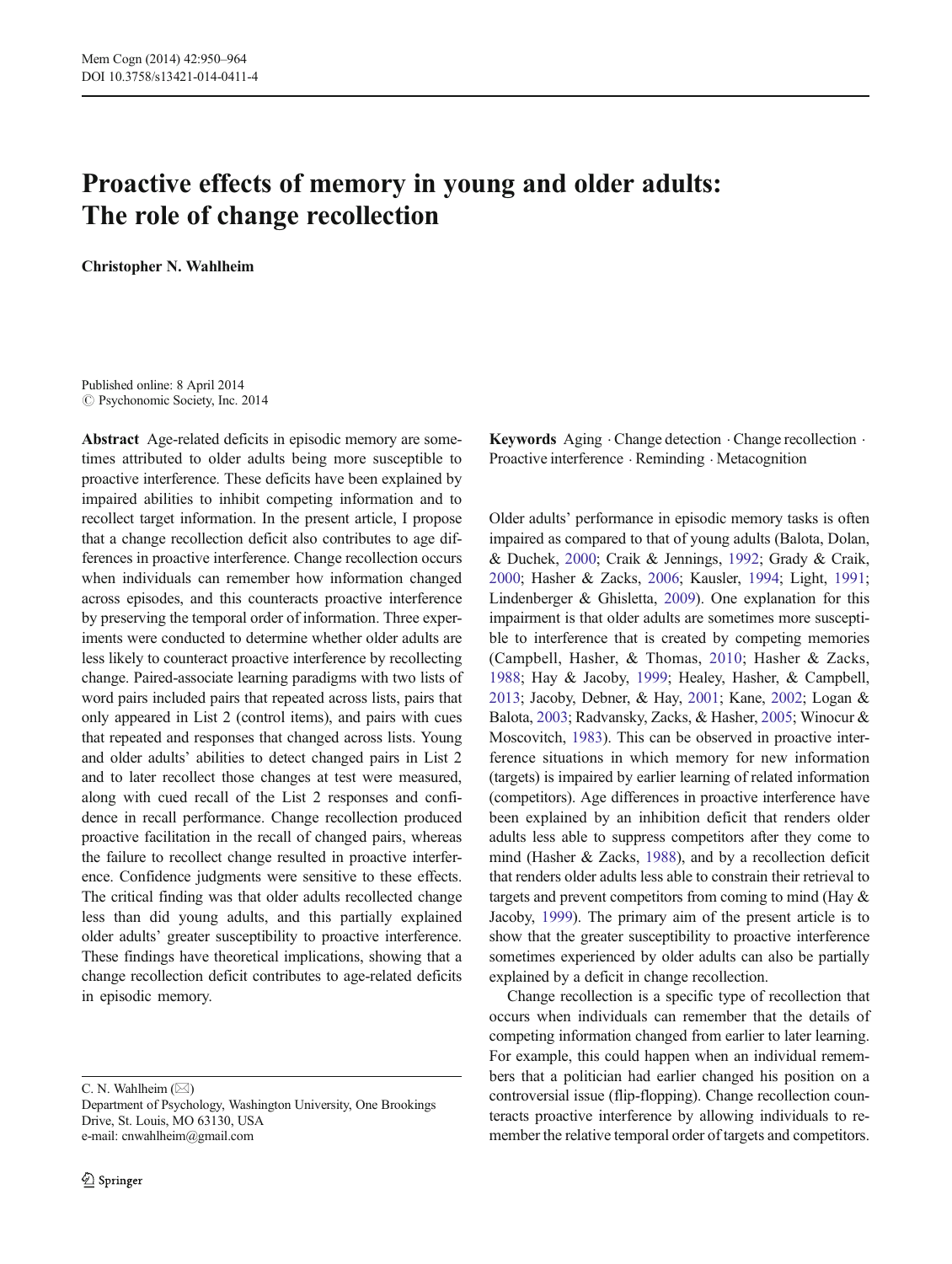# Proactive effects of memory in young and older adults: The role of change recollection

Christopher N. Wahlheim

Published online: 8 April 2014  $\odot$  Psychonomic Society, Inc. 2014

Abstract Age-related deficits in episodic memory are sometimes attributed to older adults being more susceptible to proactive interference. These deficits have been explained by impaired abilities to inhibit competing information and to recollect target information. In the present article, I propose that a change recollection deficit also contributes to age differences in proactive interference. Change recollection occurs when individuals can remember how information changed across episodes, and this counteracts proactive interference by preserving the temporal order of information. Three experiments were conducted to determine whether older adults are less likely to counteract proactive interference by recollecting change. Paired-associate learning paradigms with two lists of word pairs included pairs that repeated across lists, pairs that only appeared in List 2 (control items), and pairs with cues that repeated and responses that changed across lists. Young and older adults' abilities to detect changed pairs in List 2 and to later recollect those changes at test were measured, along with cued recall of the List 2 responses and confidence in recall performance. Change recollection produced proactive facilitation in the recall of changed pairs, whereas the failure to recollect change resulted in proactive interference. Confidence judgments were sensitive to these effects. The critical finding was that older adults recollected change less than did young adults, and this partially explained older adults' greater susceptibility to proactive interference. These findings have theoretical implications, showing that a change recollection deficit contributes to age-related deficits in episodic memory.

C. N. Wahlheim  $(\boxtimes)$ 

Department of Psychology, Washington University, One Brookings Drive, St. Louis, MO 63130, USA e-mail: cnwahlheim@gmail.com

Keywords Aging . Change detection . Change recollection . Proactive interference . Reminding . Metacognition

Older adults' performance in episodic memory tasks is often impaired as compared to that of young adults (Balota, Dolan, & Duchek, [2000](#page-13-0); Craik & Jennings, [1992](#page-13-0); Grady & Craik, [2000;](#page-13-0) Hasher & Zacks, [2006](#page-13-0); Kausler, [1994;](#page-14-0) Light, [1991;](#page-14-0) Lindenberger & Ghisletta, [2009](#page-14-0)). One explanation for this impairment is that older adults are sometimes more susceptible to interference that is created by competing memories (Campbell, Hasher, & Thomas, [2010;](#page-13-0) Hasher & Zacks, [1988;](#page-13-0) Hay & Jacoby, [1999;](#page-13-0) Healey, Hasher, & Campbell, [2013;](#page-13-0) Jacoby, Debner, & Hay, [2001](#page-14-0); Kane, [2002](#page-14-0); Logan & Balota, [2003](#page-14-0); Radvansky, Zacks, & Hasher, [2005;](#page-14-0) Winocur & Moscovitch, [1983](#page-14-0)). This can be observed in proactive interference situations in which memory for new information (targets) is impaired by earlier learning of related information (competitors). Age differences in proactive interference have been explained by an inhibition deficit that renders older adults less able to suppress competitors after they come to mind (Hasher & Zacks, [1988](#page-13-0)), and by a recollection deficit that renders older adults less able to constrain their retrieval to targets and prevent competitors from coming to mind (Hay & Jacoby, [1999](#page-13-0)). The primary aim of the present article is to show that the greater susceptibility to proactive interference sometimes experienced by older adults can also be partially explained by a deficit in change recollection.

Change recollection is a specific type of recollection that occurs when individuals can remember that the details of competing information changed from earlier to later learning. For example, this could happen when an individual remembers that a politician had earlier changed his position on a controversial issue (flip-flopping). Change recollection counteracts proactive interference by allowing individuals to remember the relative temporal order of targets and competitors.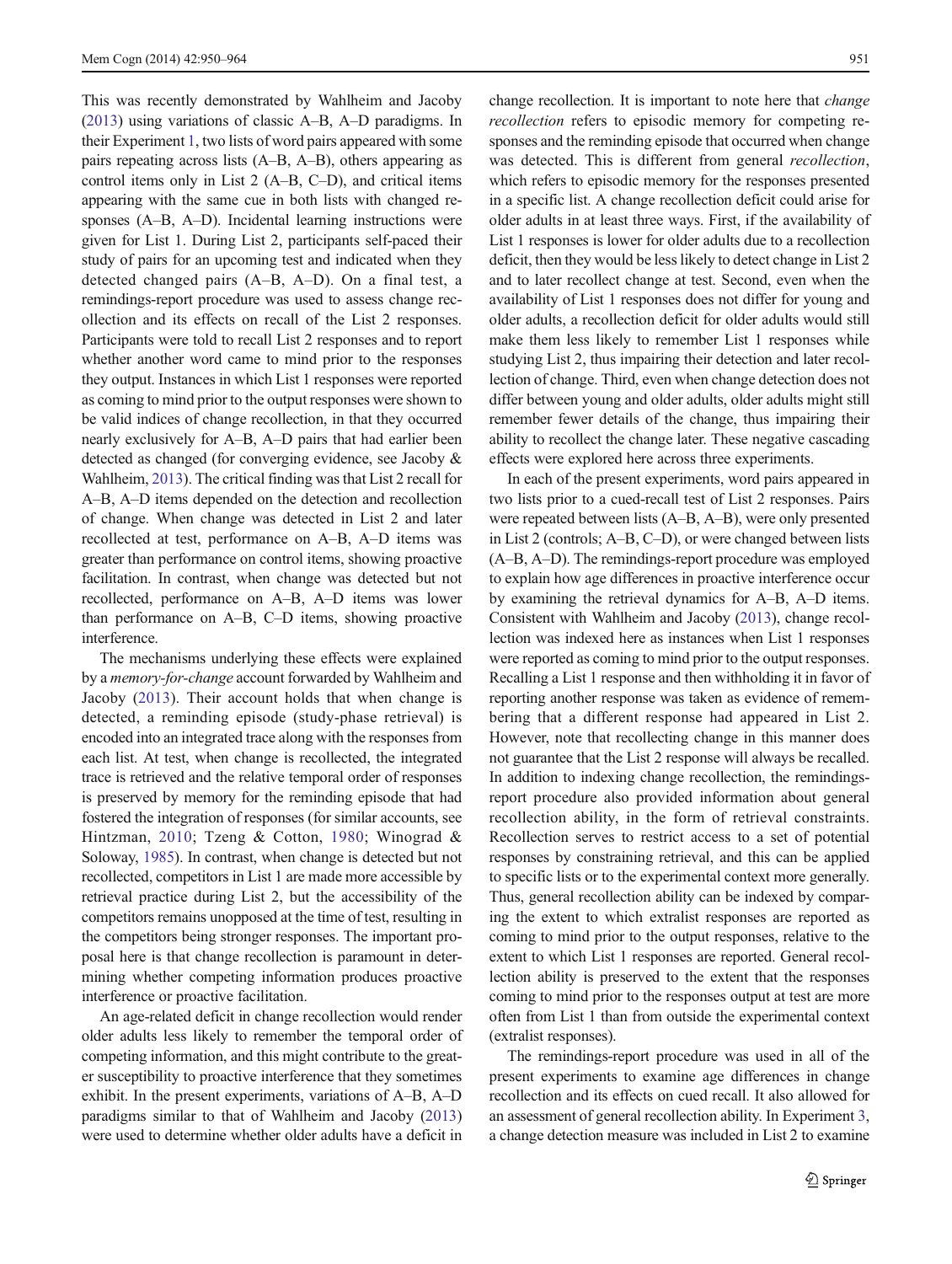This was recently demonstrated by Wahlheim and Jacoby [\(2013\)](#page-14-0) using variations of classic A–B, A–D paradigms. In their Experiment [1](#page-2-0), two lists of word pairs appeared with some pairs repeating across lists (A–B, A–B), others appearing as control items only in List 2 (A–B, C–D), and critical items appearing with the same cue in both lists with changed responses (A–B, A–D). Incidental learning instructions were given for List 1. During List 2, participants self-paced their study of pairs for an upcoming test and indicated when they detected changed pairs (A–B, A–D). On a final test, a remindings-report procedure was used to assess change recollection and its effects on recall of the List 2 responses. Participants were told to recall List 2 responses and to report whether another word came to mind prior to the responses they output. Instances in which List 1 responses were reported as coming to mind prior to the output responses were shown to be valid indices of change recollection, in that they occurred nearly exclusively for A–B, A–D pairs that had earlier been detected as changed (for converging evidence, see Jacoby & Wahlheim, [2013\)](#page-14-0). The critical finding was that List 2 recall for A–B, A–D items depended on the detection and recollection of change. When change was detected in List 2 and later recollected at test, performance on A–B, A–D items was greater than performance on control items, showing proactive facilitation. In contrast, when change was detected but not recollected, performance on A–B, A–D items was lower than performance on A–B, C–D items, showing proactive interference.

The mechanisms underlying these effects were explained by a memory-for-change account forwarded by Wahlheim and Jacoby ([2013\)](#page-14-0). Their account holds that when change is detected, a reminding episode (study-phase retrieval) is encoded into an integrated trace along with the responses from each list. At test, when change is recollected, the integrated trace is retrieved and the relative temporal order of responses is preserved by memory for the reminding episode that had fostered the integration of responses (for similar accounts, see Hintzman, [2010](#page-13-0); Tzeng & Cotton, [1980;](#page-14-0) Winograd & Soloway, [1985](#page-14-0)). In contrast, when change is detected but not recollected, competitors in List 1 are made more accessible by retrieval practice during List 2, but the accessibility of the competitors remains unopposed at the time of test, resulting in the competitors being stronger responses. The important proposal here is that change recollection is paramount in determining whether competing information produces proactive interference or proactive facilitation.

An age-related deficit in change recollection would render older adults less likely to remember the temporal order of competing information, and this might contribute to the greater susceptibility to proactive interference that they sometimes exhibit. In the present experiments, variations of A–B, A–D paradigms similar to that of Wahlheim and Jacoby [\(2013\)](#page-14-0) were used to determine whether older adults have a deficit in

change recollection. It is important to note here that change recollection refers to episodic memory for competing responses and the reminding episode that occurred when change was detected. This is different from general *recollection*, which refers to episodic memory for the responses presented in a specific list. A change recollection deficit could arise for older adults in at least three ways. First, if the availability of List 1 responses is lower for older adults due to a recollection deficit, then they would be less likely to detect change in List 2 and to later recollect change at test. Second, even when the availability of List 1 responses does not differ for young and older adults, a recollection deficit for older adults would still make them less likely to remember List 1 responses while studying List 2, thus impairing their detection and later recollection of change. Third, even when change detection does not differ between young and older adults, older adults might still remember fewer details of the change, thus impairing their ability to recollect the change later. These negative cascading effects were explored here across three experiments.

In each of the present experiments, word pairs appeared in two lists prior to a cued-recall test of List 2 responses. Pairs were repeated between lists (A–B, A–B), were only presented in List 2 (controls; A–B, C–D), or were changed between lists (A–B, A–D). The remindings-report procedure was employed to explain how age differences in proactive interference occur by examining the retrieval dynamics for A–B, A–D items. Consistent with Wahlheim and Jacoby [\(2013\)](#page-14-0), change recollection was indexed here as instances when List 1 responses were reported as coming to mind prior to the output responses. Recalling a List 1 response and then withholding it in favor of reporting another response was taken as evidence of remembering that a different response had appeared in List 2. However, note that recollecting change in this manner does not guarantee that the List 2 response will always be recalled. In addition to indexing change recollection, the remindingsreport procedure also provided information about general recollection ability, in the form of retrieval constraints. Recollection serves to restrict access to a set of potential responses by constraining retrieval, and this can be applied to specific lists or to the experimental context more generally. Thus, general recollection ability can be indexed by comparing the extent to which extralist responses are reported as coming to mind prior to the output responses, relative to the extent to which List 1 responses are reported. General recollection ability is preserved to the extent that the responses coming to mind prior to the responses output at test are more often from List 1 than from outside the experimental context (extralist responses).

The remindings-report procedure was used in all of the present experiments to examine age differences in change recollection and its effects on cued recall. It also allowed for an assessment of general recollection ability. In Experiment [3,](#page-9-0) a change detection measure was included in List 2 to examine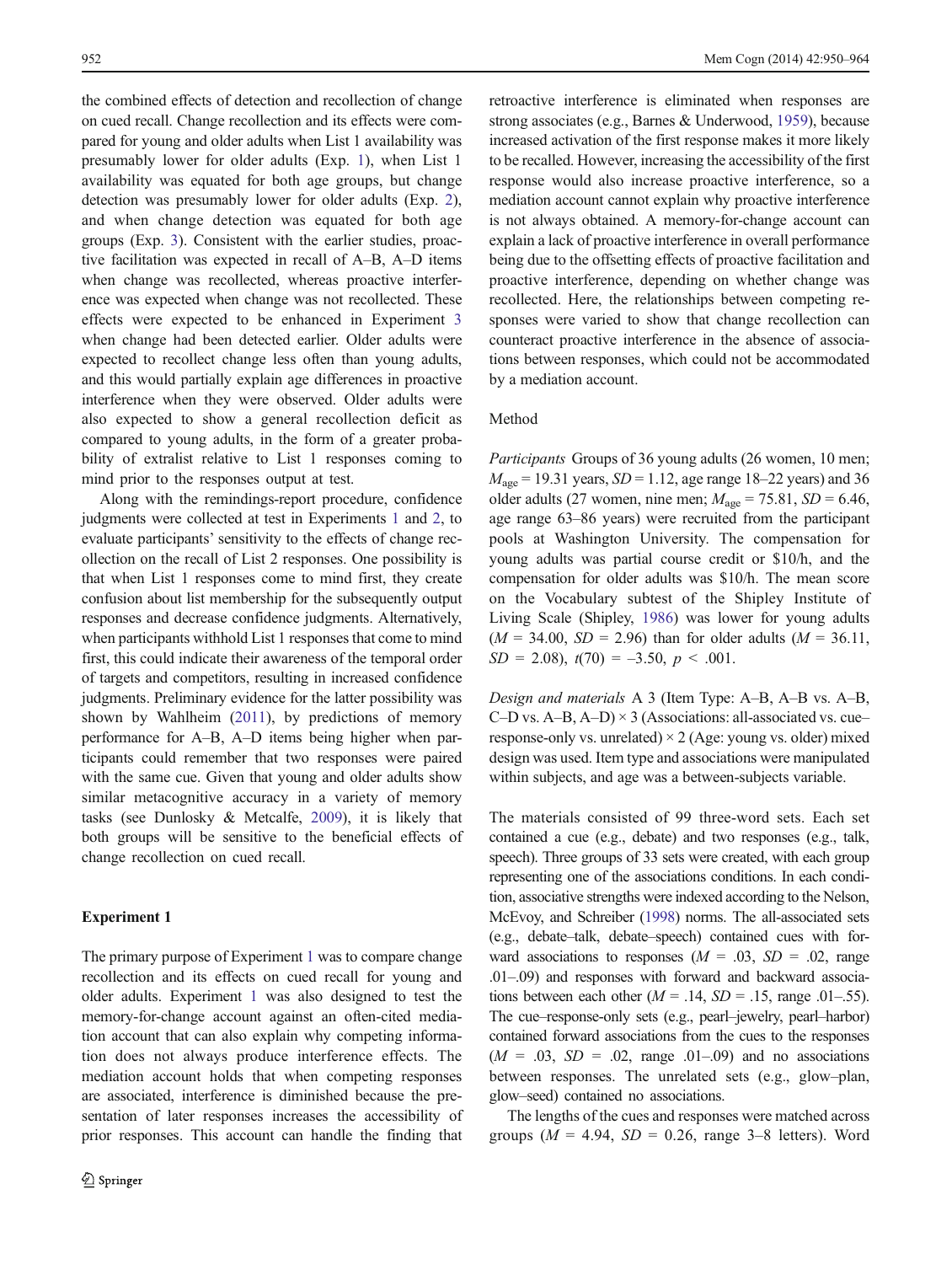<span id="page-2-0"></span>the combined effects of detection and recollection of change on cued recall. Change recollection and its effects were compared for young and older adults when List 1 availability was presumably lower for older adults (Exp. 1), when List 1 availability was equated for both age groups, but change detection was presumably lower for older adults (Exp. [2](#page-5-0)), and when change detection was equated for both age groups (Exp. [3\)](#page-9-0). Consistent with the earlier studies, proactive facilitation was expected in recall of A–B, A–D items when change was recollected, whereas proactive interference was expected when change was not recollected. These effects were expected to be enhanced in Experiment [3](#page-9-0) when change had been detected earlier. Older adults were expected to recollect change less often than young adults, and this would partially explain age differences in proactive interference when they were observed. Older adults were also expected to show a general recollection deficit as compared to young adults, in the form of a greater probability of extralist relative to List 1 responses coming to mind prior to the responses output at test.

Along with the remindings-report procedure, confidence judgments were collected at test in Experiments 1 and [2,](#page-5-0) to evaluate participants' sensitivity to the effects of change recollection on the recall of List 2 responses. One possibility is that when List 1 responses come to mind first, they create confusion about list membership for the subsequently output responses and decrease confidence judgments. Alternatively, when participants withhold List 1 responses that come to mind first, this could indicate their awareness of the temporal order of targets and competitors, resulting in increased confidence judgments. Preliminary evidence for the latter possibility was shown by Wahlheim [\(2011\)](#page-14-0), by predictions of memory performance for A–B, A–D items being higher when participants could remember that two responses were paired with the same cue. Given that young and older adults show similar metacognitive accuracy in a variety of memory tasks (see Dunlosky & Metcalfe, [2009](#page-13-0)), it is likely that both groups will be sensitive to the beneficial effects of change recollection on cued recall.

#### Experiment 1

The primary purpose of Experiment 1 was to compare change recollection and its effects on cued recall for young and older adults. Experiment 1 was also designed to test the memory-for-change account against an often-cited mediation account that can also explain why competing information does not always produce interference effects. The mediation account holds that when competing responses are associated, interference is diminished because the presentation of later responses increases the accessibility of prior responses. This account can handle the finding that

retroactive interference is eliminated when responses are strong associates (e.g., Barnes & Underwood, [1959\)](#page-13-0), because increased activation of the first response makes it more likely to be recalled. However, increasing the accessibility of the first response would also increase proactive interference, so a mediation account cannot explain why proactive interference is not always obtained. A memory-for-change account can explain a lack of proactive interference in overall performance being due to the offsetting effects of proactive facilitation and proactive interference, depending on whether change was recollected. Here, the relationships between competing responses were varied to show that change recollection can counteract proactive interference in the absence of associations between responses, which could not be accommodated by a mediation account.

#### Method

Participants Groups of 36 young adults (26 women, 10 men;  $M_{\text{age}} = 19.31 \text{ years}, SD = 1.12, age range 18–22 years) and 36$ older adults (27 women, nine men;  $M_{\text{age}} = 75.81$ ,  $SD = 6.46$ , age range 63–86 years) were recruited from the participant pools at Washington University. The compensation for young adults was partial course credit or \$10/h, and the compensation for older adults was \$10/h. The mean score on the Vocabulary subtest of the Shipley Institute of Living Scale (Shipley, [1986](#page-14-0)) was lower for young adults  $(M = 34.00, SD = 2.96)$  than for older adults  $(M = 36.11,$  $SD = 2.08$ ,  $t(70) = -3.50$ ,  $p < .001$ .

Design and materials A 3 (Item Type: A–B, A–B vs. A–B, C–D vs. A–B, A–D)  $\times$  3 (Associations: all-associated vs. cue– response-only vs. unrelated)  $\times$  2 (Age: young vs. older) mixed design was used. Item type and associations were manipulated within subjects, and age was a between-subjects variable.

The materials consisted of 99 three-word sets. Each set contained a cue (e.g., debate) and two responses (e.g., talk, speech). Three groups of 33 sets were created, with each group representing one of the associations conditions. In each condition, associative strengths were indexed according to the Nelson, McEvoy, and Schreiber [\(1998](#page-14-0)) norms. The all-associated sets (e.g., debate–talk, debate–speech) contained cues with forward associations to responses  $(M = .03, SD = .02, range)$ .01–.09) and responses with forward and backward associations between each other  $(M = .14, SD = .15, \text{ range } .01-55)$ . The cue–response-only sets (e.g., pearl–jewelry, pearl–harbor) contained forward associations from the cues to the responses  $(M = .03, SD = .02, range .01-.09)$  and no associations between responses. The unrelated sets (e.g., glow–plan, glow–seed) contained no associations.

The lengths of the cues and responses were matched across groups  $(M = 4.94, SD = 0.26, range 3–8 letters)$ . Word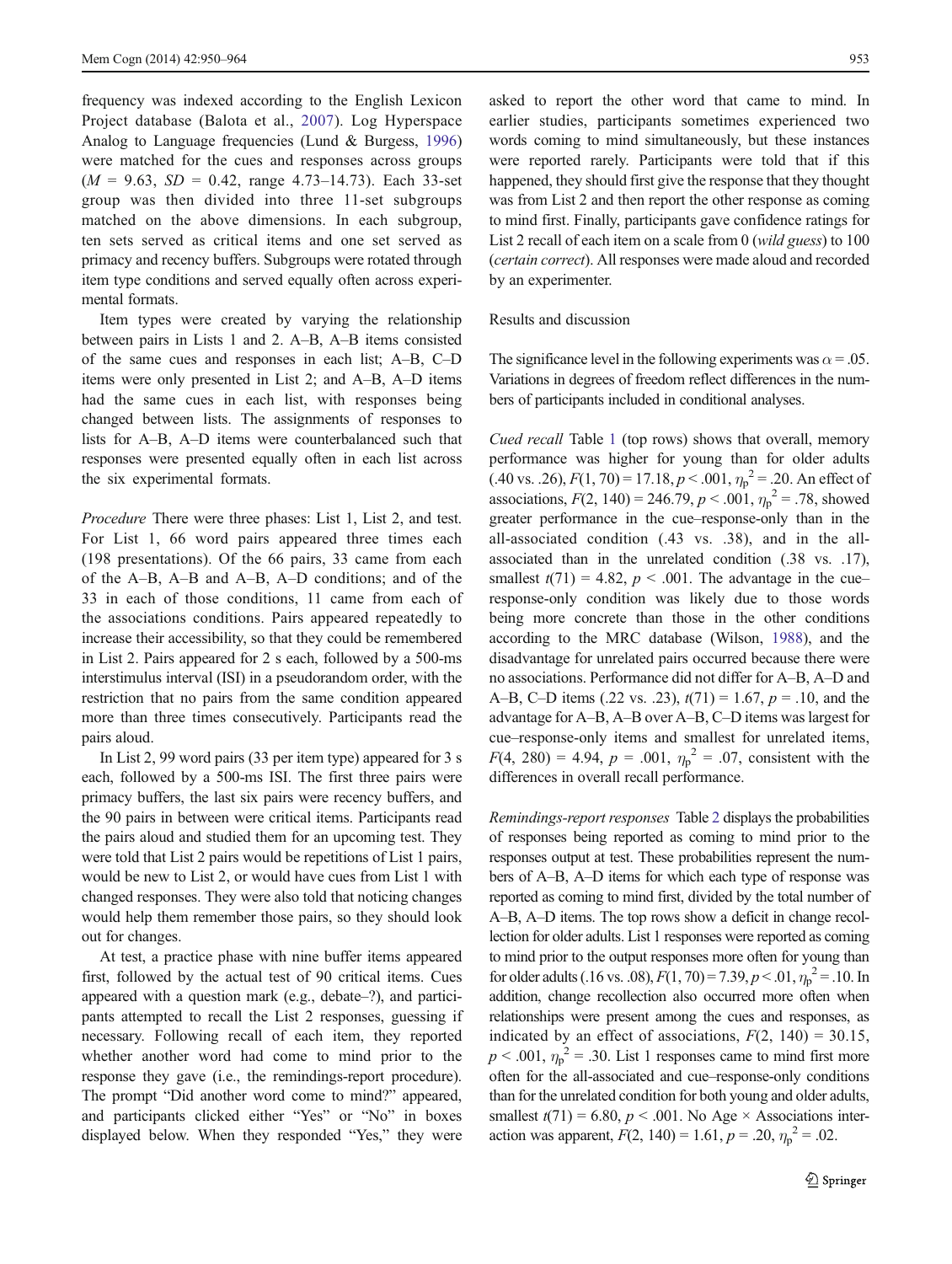frequency was indexed according to the English Lexicon Project database (Balota et al., [2007](#page-13-0)). Log Hyperspace Analog to Language frequencies (Lund & Burgess, [1996\)](#page-14-0) were matched for the cues and responses across groups  $(M = 9.63, SD = 0.42, range 4.73–14.73)$ . Each 33-set group was then divided into three 11-set subgroups matched on the above dimensions. In each subgroup, ten sets served as critical items and one set served as primacy and recency buffers. Subgroups were rotated through item type conditions and served equally often across experimental formats.

Item types were created by varying the relationship between pairs in Lists 1 and 2. A–B, A–B items consisted of the same cues and responses in each list; A–B, C–D items were only presented in List 2; and A–B, A–D items had the same cues in each list, with responses being changed between lists. The assignments of responses to lists for A–B, A–D items were counterbalanced such that responses were presented equally often in each list across the six experimental formats.

Procedure There were three phases: List 1, List 2, and test. For List 1, 66 word pairs appeared three times each (198 presentations). Of the 66 pairs, 33 came from each of the A–B, A–B and A–B, A–D conditions; and of the 33 in each of those conditions, 11 came from each of the associations conditions. Pairs appeared repeatedly to increase their accessibility, so that they could be remembered in List 2. Pairs appeared for 2 s each, followed by a 500-ms interstimulus interval (ISI) in a pseudorandom order, with the restriction that no pairs from the same condition appeared more than three times consecutively. Participants read the pairs aloud.

In List 2, 99 word pairs (33 per item type) appeared for 3 s each, followed by a 500-ms ISI. The first three pairs were primacy buffers, the last six pairs were recency buffers, and the 90 pairs in between were critical items. Participants read the pairs aloud and studied them for an upcoming test. They were told that List 2 pairs would be repetitions of List 1 pairs, would be new to List 2, or would have cues from List 1 with changed responses. They were also told that noticing changes would help them remember those pairs, so they should look out for changes.

At test, a practice phase with nine buffer items appeared first, followed by the actual test of 90 critical items. Cues appeared with a question mark (e.g., debate–?), and participants attempted to recall the List 2 responses, guessing if necessary. Following recall of each item, they reported whether another word had come to mind prior to the response they gave (i.e., the remindings-report procedure). The prompt "Did another word come to mind?" appeared, and participants clicked either "Yes" or "No" in boxes displayed below. When they responded "Yes," they were

asked to report the other word that came to mind. In earlier studies, participants sometimes experienced two words coming to mind simultaneously, but these instances were reported rarely. Participants were told that if this happened, they should first give the response that they thought was from List 2 and then report the other response as coming to mind first. Finally, participants gave confidence ratings for List 2 recall of each item on a scale from 0 *(wild guess)* to 100 (certain correct). All responses were made aloud and recorded by an experimenter.

Results and discussion

The significance level in the following experiments was  $\alpha = .05$ . Variations in degrees of freedom reflect differences in the numbers of participants included in conditional analyses.

Cued recall Table [1](#page-4-0) (top rows) shows that overall, memory performance was higher for young than for older adults  $(.40 \text{ vs. } .26), F(1, 70) = 17.18, p < .001, \eta_p^2 = .20.$  An effect of associations,  $F(2, 140) = 246.79, p < .001, \eta_p^2 = .78$ , showed greater performance in the cue–response-only than in the all-associated condition (.43 vs. .38), and in the allassociated than in the unrelated condition (.38 vs. .17), smallest  $t(71) = 4.82$ ,  $p < .001$ . The advantage in the cueresponse-only condition was likely due to those words being more concrete than those in the other conditions according to the MRC database (Wilson, [1988](#page-14-0)), and the disadvantage for unrelated pairs occurred because there were no associations. Performance did not differ for A–B, A–D and A–B, C–D items (.22 vs. .23),  $t(71) = 1.67$ ,  $p = .10$ , and the advantage for A–B, A–B over A–B, C–D items was largest for cue–response-only items and smallest for unrelated items,  $F(4, 280) = 4.94$ ,  $p = .001$ ,  $\eta_p^2 = .07$ , consistent with the differences in overall recall performance.

Remindings-report responses Table [2](#page-4-0) displays the probabilities of responses being reported as coming to mind prior to the responses output at test. These probabilities represent the numbers of A–B, A–D items for which each type of response was reported as coming to mind first, divided by the total number of A–B, A–D items. The top rows show a deficit in change recollection for older adults. List 1 responses were reported as coming to mind prior to the output responses more often for young than for older adults (.16 vs. .08),  $F(1, 70) = 7.39, p < .01, \eta_p^2 = .10$ . In addition, change recollection also occurred more often when relationships were present among the cues and responses, as indicated by an effect of associations,  $F(2, 140) = 30.15$ ,  $p < .001$ ,  $\eta_p^2 = .30$ . List 1 responses came to mind first more often for the all-associated and cue–response-only conditions than for the unrelated condition for both young and older adults, smallest  $t(71) = 6.80, p < .001$ . No Age  $\times$  Associations interaction was apparent,  $F(2, 140) = 1.61$ ,  $p = .20$ ,  $\eta_p^2 = .02$ .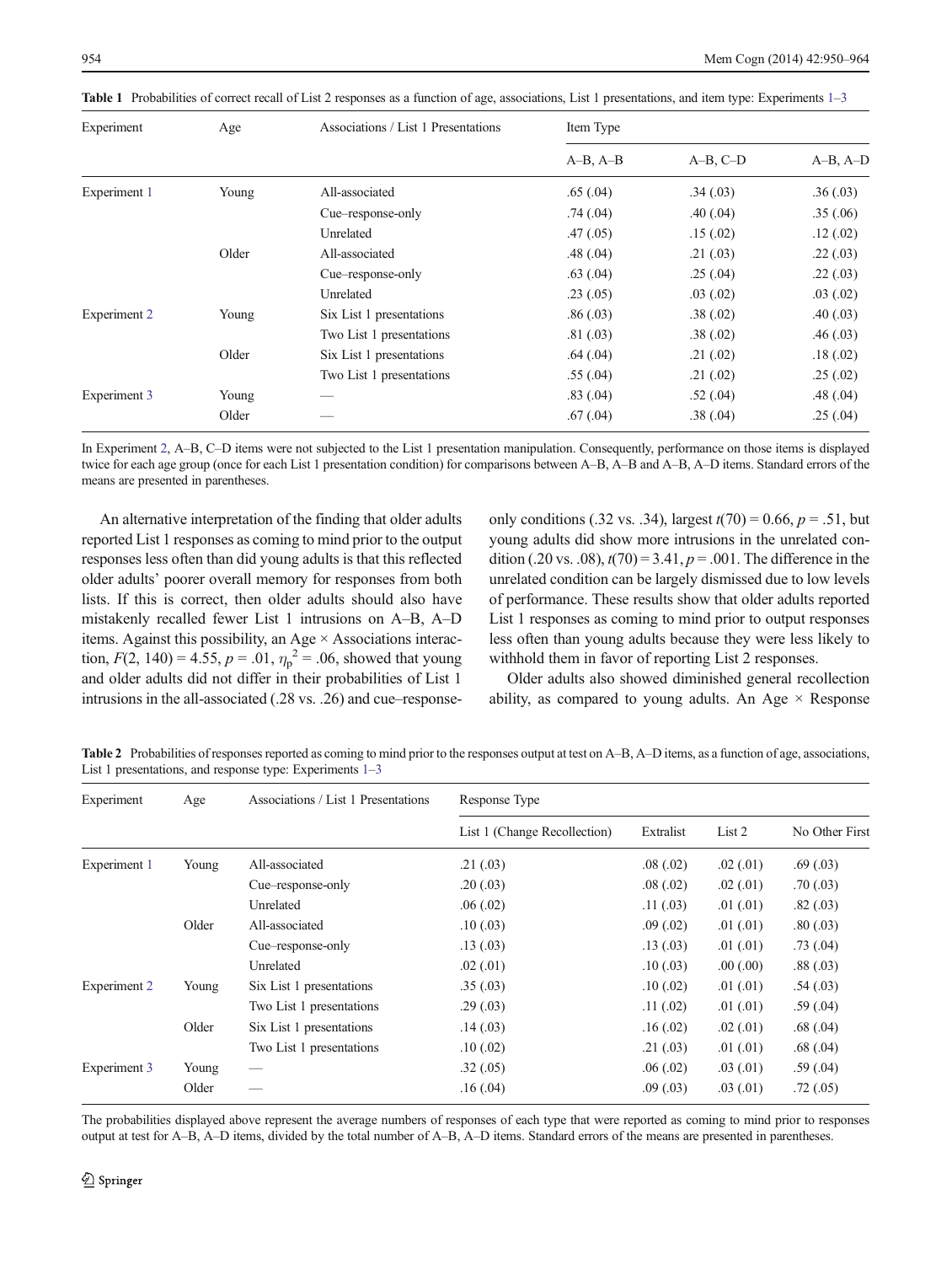| Experiment   | Age   | Associations / List 1 Presentations | Item Type  |            |            |
|--------------|-------|-------------------------------------|------------|------------|------------|
|              |       |                                     | $A-B, A-B$ | $A-B, C-D$ | $A-B, A-D$ |
| Experiment 1 | Young | All-associated                      | .65(.04)   | .34(.03)   | .36(.03)   |
|              |       | Cue–response-only                   | .74(0.04)  | .40(0.04)  | .35(.06)   |
|              |       | Unrelated                           | .47(0.05)  | .15(.02)   | .12(0.02)  |
|              | Older | All-associated                      | .48(.04)   | .21(0.03)  | .22(.03)   |
|              |       | Cue–response-only                   | .63(0.04)  | .25(.04)   | .22(.03)   |
|              |       | Unrelated                           | .23(.05)   | .03(0.02)  | .03(0.02)  |
| Experiment 2 | Young | Six List 1 presentations            | .86(.03)   | .38(.02)   | .40(0.03)  |
|              |       | Two List 1 presentations            | .81(.03)   | .38(.02)   | .46(.03)   |
|              | Older | Six List 1 presentations            | .64(.04)   | .21(.02)   | .18(.02)   |
|              |       | Two List 1 presentations            | .55(.04)   | .21(.02)   | .25(.02)   |
| Experiment 3 | Young |                                     | .83(.04)   | .52(.04)   | .48(.04)   |
|              | Older |                                     | .67(0.04)  | .38(.04)   | .25(.04)   |

<span id="page-4-0"></span>Table 1 Probabilities of correct recall of List 2 responses as a function of age, associations, List 1 presentations, and item type: Experiments [1](#page-2-0)–[3](#page-9-0)

In Experiment [2,](#page-5-0) A–B, C–D items were not subjected to the List 1 presentation manipulation. Consequently, performance on those items is displayed twice for each age group (once for each List 1 presentation condition) for comparisons between A–B, A–B and A–B, A–D items. Standard errors of the means are presented in parentheses.

An alternative interpretation of the finding that older adults reported List 1 responses as coming to mind prior to the output responses less often than did young adults is that this reflected older adults' poorer overall memory for responses from both lists. If this is correct, then older adults should also have mistakenly recalled fewer List 1 intrusions on A–B, A–D items. Against this possibility, an Age  $\times$  Associations interaction,  $F(2, 140) = 4.55$ ,  $p = .01$ ,  $\eta_p^2 = .06$ , showed that young and older adults did not differ in their probabilities of List 1 intrusions in the all-associated (.28 vs. .26) and cue–response-

only conditions (.32 vs. .34), largest  $t(70) = 0.66$ ,  $p = .51$ , but young adults did show more intrusions in the unrelated condition (.20 vs. .08),  $t(70) = 3.41$ ,  $p = .001$ . The difference in the unrelated condition can be largely dismissed due to low levels of performance. These results show that older adults reported List 1 responses as coming to mind prior to output responses less often than young adults because they were less likely to withhold them in favor of reporting List 2 responses.

Older adults also showed diminished general recollection ability, as compared to young adults. An Age  $\times$  Response

Table 2 Probabilities of responses reported as coming to mind prior to the responses output at test on A–B, A–D items, as a function of age, associations, List 1 presentations, and response type: Experiments [1](#page-2-0)–[3](#page-9-0)

| Experiment   | Age   | Associations / List 1 Presentations | Response Type                |           |           |                |
|--------------|-------|-------------------------------------|------------------------------|-----------|-----------|----------------|
|              |       |                                     | List 1 (Change Recollection) | Extralist | List 2    | No Other First |
| Experiment 1 | Young | All-associated                      | .21(.03)                     | .08(.02)  | .02(0.01) | .69(0.03)      |
|              |       | Cue–response-only                   | .20(.03)                     | .08(.02)  | .02(0.01) | .70(0.03)      |
|              |       | Unrelated                           | .06(.02)                     | .11(0.03) | .01(0.01) | .82(.03)       |
|              | Older | All-associated                      | .10(0.03)                    | .09(0.02) | .01(0.01) | .80(.03)       |
|              |       | Cue–response-only                   | .13(0.03)                    | .13(0.03) | .01(0.01) | .73(0.04)      |
|              |       | Unrelated                           | .02(0.01)                    | .10(0.03) | .00(.00)  | .88(0.03)      |
| Experiment 2 | Young | Six List 1 presentations            | .35(.03)                     | .10(0.02) | .01(0.01) | .54(.03)       |
|              |       | Two List 1 presentations            | .29(0.03)                    | .11(02)   | .01(0.01) | .59(.04)       |
|              | Older | Six List 1 presentations            | .14(0.03)                    | .16(.02)  | .02(0.01) | .68(.04)       |
|              |       | Two List 1 presentations            | .10(0.02)                    | .21(.03)  | .01(0.01) | .68(.04)       |
| Experiment 3 | Young |                                     | .32(.05)                     | .06(.02)  | .03(0.01) | .59(.04)       |
|              | Older |                                     | .16(0.04)                    | .09(0.03) | .03(0.01) | .72(0.05)      |

The probabilities displayed above represent the average numbers of responses of each type that were reported as coming to mind prior to responses output at test for A–B, A–D items, divided by the total number of A–B, A–D items. Standard errors of the means are presented in parentheses.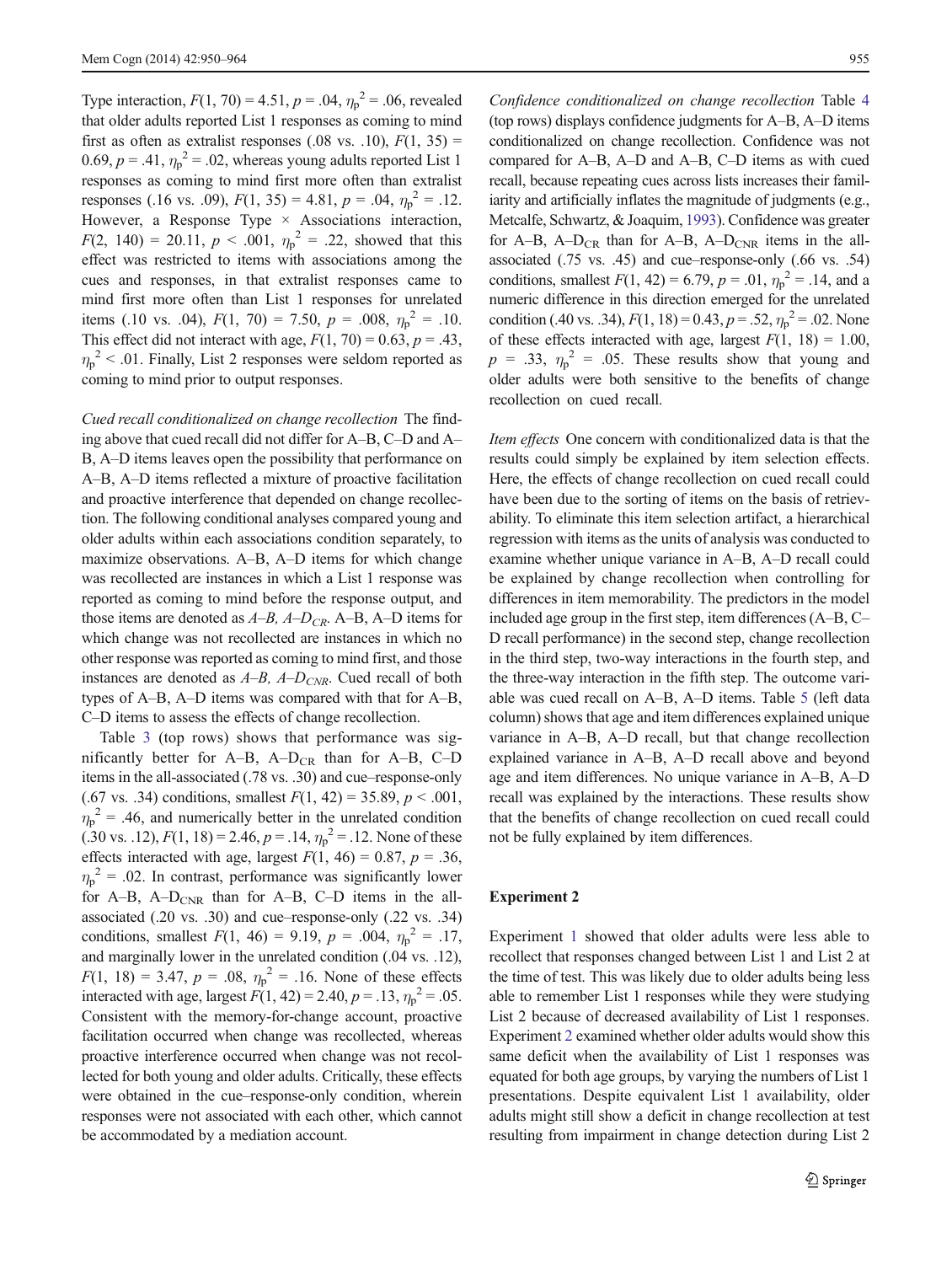<span id="page-5-0"></span>Type interaction,  $F(1, 70) = 4.51$ ,  $p = .04$ ,  $\eta_p^2 = .06$ , revealed that older adults reported List 1 responses as coming to mind first as often as extralist responses (.08 vs. .10),  $F(1, 35) =$ 0.69,  $p = .41$ ,  $\eta_p^2 = .02$ , whereas young adults reported List 1 responses as coming to mind first more often than extralist responses (.16 vs. .09),  $F(1, 35) = 4.81$ ,  $p = .04$ ,  $\eta_p^2 = .12$ . However, a Response Type  $\times$  Associations interaction,  $F(2, 140) = 20.11, p < .001, \eta_p^2 = .22$ , showed that this effect was restricted to items with associations among the cues and responses, in that extralist responses came to mind first more often than List 1 responses for unrelated items (.10 vs. .04),  $F(1, 70) = 7.50$ ,  $p = .008$ ,  $\eta_p^2 = .10$ . This effect did not interact with age,  $F(1, 70) = 0.63$ ,  $p = .43$ ,  $\eta_p^2$  < .01. Finally, List 2 responses were seldom reported as coming to mind prior to output responses.

Cued recall conditionalized on change recollection The finding above that cued recall did not differ for A–B, C–D and A– B, A–D items leaves open the possibility that performance on A–B, A–D items reflected a mixture of proactive facilitation and proactive interference that depended on change recollection. The following conditional analyses compared young and older adults within each associations condition separately, to maximize observations. A–B, A–D items for which change was recollected are instances in which a List 1 response was reported as coming to mind before the response output, and those items are denoted as  $A-B$ ,  $A-D_{CR}$ . A–B, A–D items for which change was not recollected are instances in which no other response was reported as coming to mind first, and those instances are denoted as  $A-B$ ,  $A-D_{CNR}$ . Cued recall of both types of A–B, A–D items was compared with that for A–B, C–D items to assess the effects of change recollection.

Table [3](#page-6-0) (top rows) shows that performance was significantly better for  $A-B$ ,  $A-D_{CR}$  than for  $A-B$ ,  $C-D$ items in the all-associated (.78 vs. .30) and cue–response-only (.67 vs. .34) conditions, smallest  $F(1, 42) = 35.89, p < .001$ ,  $\eta_p^2$  = .46, and numerically better in the unrelated condition  $(.30 \text{ vs. } .12)$ ,  $F(1, 18) = 2.46$ ,  $p = .14$ ,  $\eta_p^2 = .12$ . None of these effects interacted with age, largest  $F(1, 46) = 0.87$ ,  $p = .36$ ,  $\eta_p^2$  = .02. In contrast, performance was significantly lower for A–B, A– $D_{CNR}$  than for A–B, C–D items in the allassociated (.20 vs. .30) and cue–response-only (.22 vs. .34) conditions, smallest  $F(1, 46) = 9.19$ ,  $p = .004$ ,  $\eta_p^2 = .17$ , and marginally lower in the unrelated condition (.04 vs. .12),  $F(1, 18) = 3.47, p = .08, \eta_p^2 = .16$ . None of these effects interacted with age, largest  $F(1, 42) = 2.40, p = .13, \eta_p^2 = .05$ . Consistent with the memory-for-change account, proactive facilitation occurred when change was recollected, whereas proactive interference occurred when change was not recollected for both young and older adults. Critically, these effects were obtained in the cue–response-only condition, wherein responses were not associated with each other, which cannot be accommodated by a mediation account.

Confidence conditionalized on change recollection Table [4](#page-6-0) (top rows) displays confidence judgments for A–B, A–D items conditionalized on change recollection. Confidence was not compared for A–B, A–D and A–B, C–D items as with cued recall, because repeating cues across lists increases their familiarity and artificially inflates the magnitude of judgments (e.g., Metcalfe, Schwartz, & Joaquim, [1993](#page-14-0)). Confidence was greater for A–B, A– $D_{CR}$  than for A–B, A– $D_{CNR}$  items in the allassociated (.75 vs. .45) and cue–response-only (.66 vs. .54) conditions, smallest  $F(1, 42) = 6.79$ ,  $p = .01$ ,  $\eta_p^2 = .14$ , and a numeric difference in this direction emerged for the unrelated condition (.40 vs. .34),  $F(1, 18) = 0.43$ ,  $p = .52$ ,  $\eta_p^2 = .02$ . None of these effects interacted with age, largest  $F(1, 18) = 1.00$ ,  $p = .33$ ,  $\eta_p^2 = .05$ . These results show that young and older adults were both sensitive to the benefits of change recollection on cued recall.

Item effects One concern with conditionalized data is that the results could simply be explained by item selection effects. Here, the effects of change recollection on cued recall could have been due to the sorting of items on the basis of retrievability. To eliminate this item selection artifact, a hierarchical regression with items as the units of analysis was conducted to examine whether unique variance in A–B, A–D recall could be explained by change recollection when controlling for differences in item memorability. The predictors in the model included age group in the first step, item differences (A–B, C– D recall performance) in the second step, change recollection in the third step, two-way interactions in the fourth step, and the three-way interaction in the fifth step. The outcome variable was cued recall on A–B, A–D items. Table [5](#page-7-0) (left data column) shows that age and item differences explained unique variance in A–B, A–D recall, but that change recollection explained variance in A–B, A–D recall above and beyond age and item differences. No unique variance in A–B, A–D recall was explained by the interactions. These results show that the benefits of change recollection on cued recall could not be fully explained by item differences.

## Experiment 2

Experiment [1](#page-2-0) showed that older adults were less able to recollect that responses changed between List 1 and List 2 at the time of test. This was likely due to older adults being less able to remember List 1 responses while they were studying List 2 because of decreased availability of List 1 responses. Experiment 2 examined whether older adults would show this same deficit when the availability of List 1 responses was equated for both age groups, by varying the numbers of List 1 presentations. Despite equivalent List 1 availability, older adults might still show a deficit in change recollection at test resulting from impairment in change detection during List 2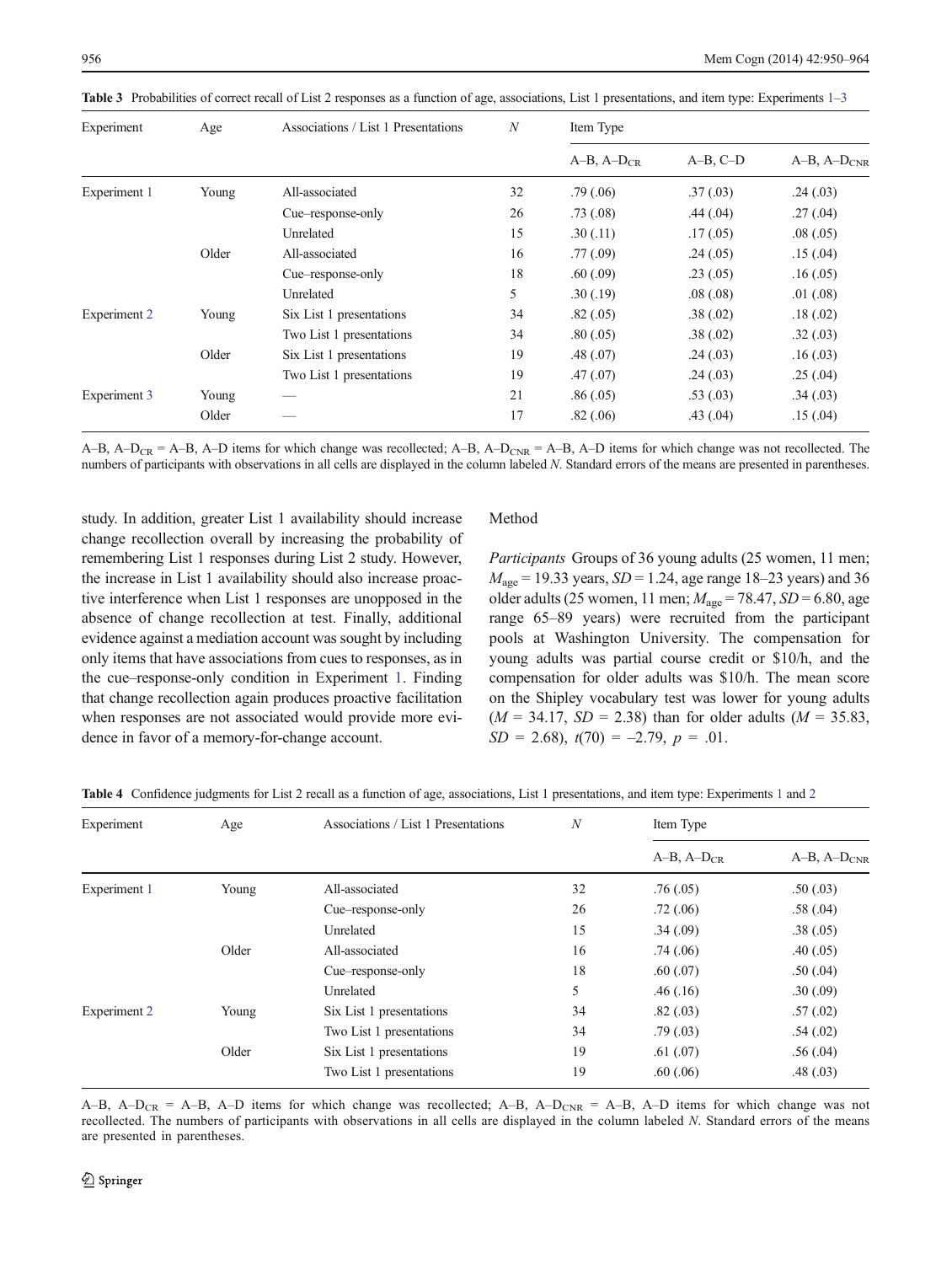| Experiment   | Age   | Associations / List 1 Presentations | N  | Item Type       |            |                  |
|--------------|-------|-------------------------------------|----|-----------------|------------|------------------|
|              |       |                                     |    | $A-B, A-D_{CR}$ | $A-B, C-D$ | $A-B, A-D_{CNR}$ |
| Experiment 1 | Young | All-associated                      | 32 | .79(0.06)       | .37(0.03)  | .24(.03)         |
|              |       | Cue–response-only                   | 26 | .73(0.08)       | .44(.04)   | .27(0.04)        |
|              |       | Unrelated                           | 15 | .30(.11)        | .17(0.05)  | .08(.05)         |
|              | Older | All-associated                      | 16 | .77(0.09)       | .24(.05)   | .15(.04)         |
|              |       | Cue–response-only                   | 18 | .60(0.09)       | .23(.05)   | .16(0.05)        |
|              |       | Unrelated                           | 5  | .30(.19)        | .08(0.08)  | .01(0.08)        |
| Experiment 2 | Young | Six List 1 presentations            | 34 | .82(.05)        | .38(.02)   | .18(.02)         |
|              |       | Two List 1 presentations            | 34 | .80(.05)        | .38(.02)   | .32(.03)         |
|              | Older | Six List 1 presentations            | 19 | .48(.07)        | .24(.03)   | .16(0.03)        |
|              |       | Two List 1 presentations            | 19 | .47(.07)        | .24(.03)   | .25(.04)         |
| Experiment 3 | Young |                                     | 21 | .86(.05)        | .53(0.03)  | .34(.03)         |
|              | Older |                                     | 17 | .82(.06)        | .43(0.04)  | .15(.04)         |

<span id="page-6-0"></span>Table 3 Probabilities of correct recall of List 2 responses as a function of age, associations, List 1 presentations, and item type: Experiments [1](#page-2-0)–[3](#page-9-0)

A–B, A–D<sub>CR</sub> = A–B, A–D items for which change was recollected; A–B, A–D<sub>CNR</sub> = A–B, A–D items for which change was not recollected. The numbers of participants with observations in all cells are displayed in the column labeled N. Standard errors of the means are presented in parentheses.

study. In addition, greater List 1 availability should increase change recollection overall by increasing the probability of remembering List 1 responses during List 2 study. However, the increase in List 1 availability should also increase proactive interference when List 1 responses are unopposed in the absence of change recollection at test. Finally, additional evidence against a mediation account was sought by including only items that have associations from cues to responses, as in the cue–response-only condition in Experiment [1.](#page-2-0) Finding that change recollection again produces proactive facilitation when responses are not associated would provide more evidence in favor of a memory-for-change account.

## Method

Participants Groups of 36 young adults (25 women, 11 men;  $M_{\text{age}} = 19.33 \text{ years}, SD = 1.24, age range 18–23 years)$  and 36 older adults (25 women, 11 men;  $M_{\text{age}} = 78.47$ ,  $SD = 6.80$ , age range 65–89 years) were recruited from the participant pools at Washington University. The compensation for young adults was partial course credit or \$10/h, and the compensation for older adults was \$10/h. The mean score on the Shipley vocabulary test was lower for young adults  $(M = 34.17, SD = 2.38)$  than for older adults  $(M = 35.83,$  $SD = 2.68$ ,  $t(70) = -2.79$ ,  $p = .01$ .

| Experiment   | Age   | Associations / List 1 Presentations | N  | Item Type       |                     |
|--------------|-------|-------------------------------------|----|-----------------|---------------------|
|              |       |                                     |    | $A-B, A-D_{CR}$ | $A-B$ , $A-D_{CNR}$ |
| Experiment 1 | Young | All-associated                      | 32 | .76(.05)        | .50(0.03)           |
|              |       | Cue–response-only                   | 26 | .72(0.06)       | .58(.04)            |
|              |       | Unrelated                           | 15 | .34(.09)        | .38(.05)            |
|              | Older | All-associated                      | 16 | .74(0.06)       | .40(0.05)           |
|              |       | Cue–response-only                   | 18 | .60(.07)        | .50(0.04)           |
|              |       | Unrelated                           | 5  | .46(.16)        | .30(.09)            |
| Experiment 2 | Young | Six List 1 presentations            | 34 | .82(.03)        | .57(.02)            |
|              |       | Two List 1 presentations            | 34 | .79(0.03)       | .54(.02)            |
|              | Older | Six List 1 presentations            | 19 | .61(.07)        | .56(.04)            |
|              |       | Two List 1 presentations            | 19 | .60(.06)        | .48(0.03)           |

Table 4 Confidence judgments for List 2 recall as a function of age, associations, List 1 presentations, and item type: Experiments [1](#page-2-0) and [2](#page-5-0)

 $A-B$ ,  $A-D_{CR} = A-B$ ,  $A-D$  items for which change was recollected;  $A-B$ ,  $A-D_{CR} = A-B$ ,  $A-D$  items for which change was not recollected. The numbers of participants with observations in all cells are displayed in the column labeled N. Standard errors of the means are presented in parentheses.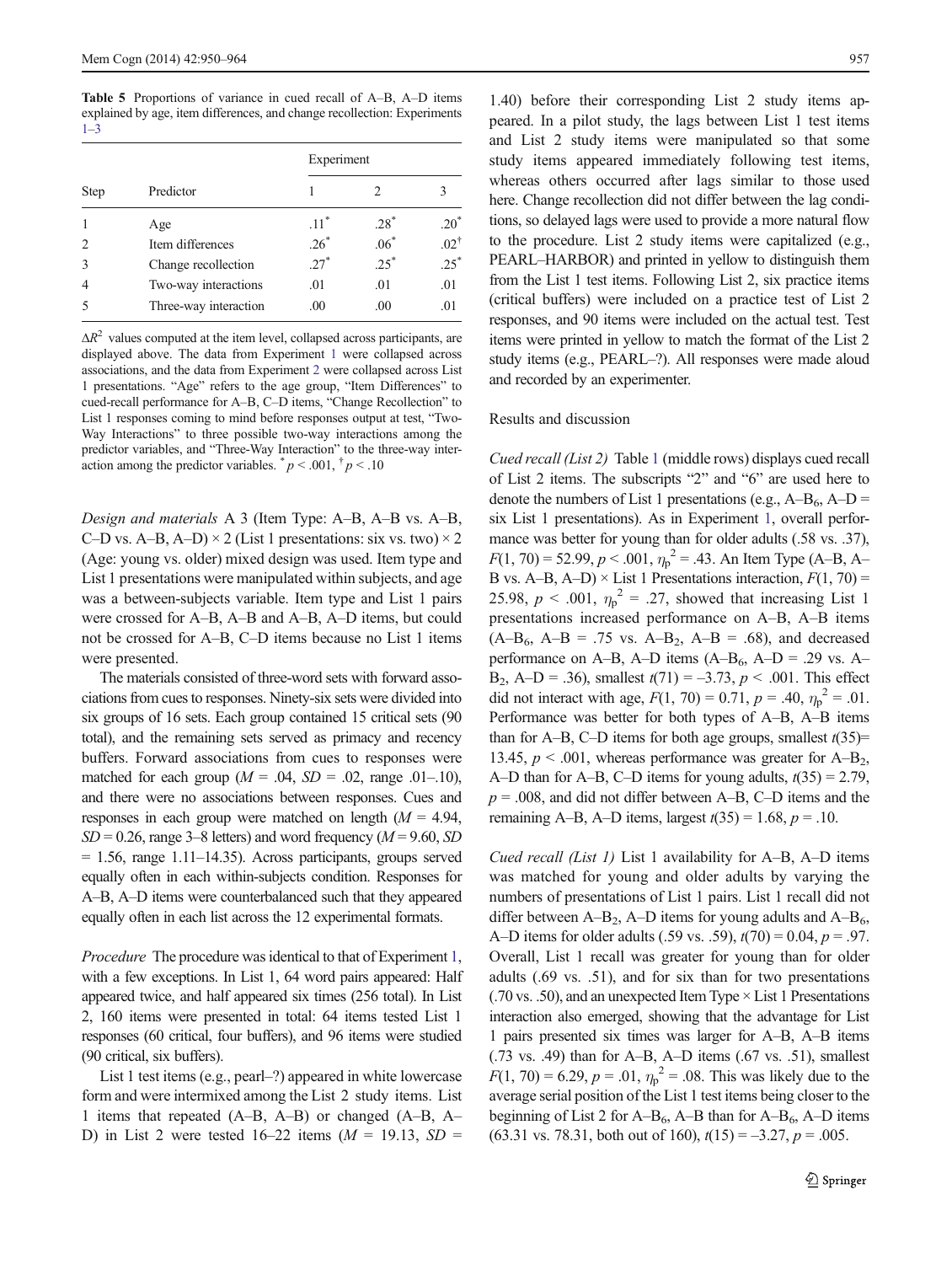<span id="page-7-0"></span>Table 5 Proportions of variance in cued recall of A–B, A–D items explained by age, item differences, and change recollection: Experiments [1](#page-2-0)–[3](#page-9-0)

|              |                       | Experiment |        |                 |  |
|--------------|-----------------------|------------|--------|-----------------|--|
| <b>Step</b>  | Predictor             |            |        |                 |  |
|              | Age                   | $.11*$     | $.28*$ | $.20^*$         |  |
|              | Item differences      | $.26*$     | $.06*$ | $.02^{\dagger}$ |  |
| $\mathbf{3}$ | Change recollection   | $27*$      | $.25*$ | $.25*$          |  |
|              | Two-way interactions  | .01        | .01    | .01             |  |
|              | Three-way interaction | .00        | .00    | .01             |  |

 $\Delta R^2$  values computed at the item level, collapsed across participants, are displayed above. The data from Experiment [1](#page-2-0) were collapsed across associations, and the data from Experiment [2](#page-5-0) were collapsed across List 1 presentations. "Age" refers to the age group, "Item Differences" to cued-recall performance for A–B, C–D items, "Change Recollection" to List 1 responses coming to mind before responses output at test, "Two-Way Interactions" to three possible two-way interactions among the predictor variables, and "Three-Way Interaction" to the three-way interaction among the predictor variables.  $p < .001$ ,  $p < .10$ 

Design and materials A 3 (Item Type: A–B, A–B vs. A–B, C–D vs. A–B, A–D)  $\times$  2 (List 1 presentations: six vs. two)  $\times$  2 (Age: young vs. older) mixed design was used. Item type and List 1 presentations were manipulated within subjects, and age was a between-subjects variable. Item type and List 1 pairs were crossed for A–B, A–B and A–B, A–D items, but could not be crossed for A–B, C–D items because no List 1 items were presented.

The materials consisted of three-word sets with forward associations from cues to responses. Ninety-six sets were divided into six groups of 16 sets. Each group contained 15 critical sets (90 total), and the remaining sets served as primacy and recency buffers. Forward associations from cues to responses were matched for each group ( $M = .04$ ,  $SD = .02$ , range  $.01-10$ ), and there were no associations between responses. Cues and responses in each group were matched on length  $(M = 4.94,$  $SD = 0.26$ , range 3–8 letters) and word frequency ( $M = 9.60$ , SD  $= 1.56$ , range 1.11–14.35). Across participants, groups served equally often in each within-subjects condition. Responses for A–B, A–D items were counterbalanced such that they appeared equally often in each list across the 12 experimental formats.

Procedure The procedure was identical to that of Experiment [1,](#page-2-0) with a few exceptions. In List 1, 64 word pairs appeared: Half appeared twice, and half appeared six times (256 total). In List 2, 160 items were presented in total: 64 items tested List 1 responses (60 critical, four buffers), and 96 items were studied (90 critical, six buffers).

List 1 test items (e.g., pearl–?) appeared in white lowercase form and were intermixed among the List 2 study items. List 1 items that repeated (A–B, A–B) or changed (A–B, A– D) in List 2 were tested  $16-22$  items  $(M = 19.13, SD =$ 

1.40) before their corresponding List 2 study items appeared. In a pilot study, the lags between List 1 test items and List 2 study items were manipulated so that some study items appeared immediately following test items, whereas others occurred after lags similar to those used here. Change recollection did not differ between the lag conditions, so delayed lags were used to provide a more natural flow to the procedure. List 2 study items were capitalized (e.g., PEARL–HARBOR) and printed in yellow to distinguish them from the List 1 test items. Following List 2, six practice items (critical buffers) were included on a practice test of List 2 responses, and 90 items were included on the actual test. Test items were printed in yellow to match the format of the List 2 study items (e.g., PEARL–?). All responses were made aloud and recorded by an experimenter.

#### Results and discussion

Cued recall (List 2) Table [1](#page-4-0) (middle rows) displays cued recall of List 2 items. The subscripts "2" and "6" are used here to denote the numbers of List 1 presentations (e.g.,  $A-B_6$ ,  $A-D =$ six List 1 presentations). As in Experiment [1,](#page-2-0) overall performance was better for young than for older adults (.58 vs. .37),  $F(1, 70) = 52.99, p < .001, \eta_p^2 = .43$ . An Item Type (A–B, A– B vs. A–B, A–D)  $\times$  List 1 Presentations interaction,  $F(1, 70)$  = 25.98,  $p < .001$ ,  $\eta_p^2 = .27$ , showed that increasing List 1 presentations increased performance on A–B, A–B items  $(A-B_6, A-B = .75 \text{ vs. } A-B_2, A-B = .68)$ , and decreased performance on A–B, A–D items  $(A-B_6, A-D = .29 \text{ vs. } A-$ B<sub>2</sub>, A–D = .36), smallest  $t(71) = -3.73$ ,  $p < .001$ . This effect did not interact with age,  $F(1, 70) = 0.71$ ,  $p = .40$ ,  $\eta_p^2 = .01$ . Performance was better for both types of A–B, A–B items than for A–B, C–D items for both age groups, smallest  $t(35)$ = 13.45,  $p < .001$ , whereas performance was greater for A–B<sub>2</sub>, A–D than for A–B, C–D items for young adults,  $t(35) = 2.79$ ,  $p = 0.008$ , and did not differ between A–B, C–D items and the remaining A–B, A–D items, largest  $t(35) = 1.68$ ,  $p = .10$ .

Cued recall (List 1) List 1 availability for A–B, A–D items was matched for young and older adults by varying the numbers of presentations of List 1 pairs. List 1 recall did not differ between  $A-B_2$ ,  $A-D$  items for young adults and  $A-B_6$ , A–D items for older adults (.59 vs. .59),  $t(70) = 0.04$ ,  $p = .97$ . Overall, List 1 recall was greater for young than for older adults (.69 vs. .51), and for six than for two presentations (.70 vs. .50), and an unexpected Item Type × List 1 Presentations interaction also emerged, showing that the advantage for List 1 pairs presented six times was larger for A–B, A–B items  $(.73 \text{ vs. } .49)$  than for A–B, A–D items  $(.67 \text{ vs. } .51)$ , smallest  $F(1, 70) = 6.29, p = .01, \eta_p^2 = .08$ . This was likely due to the average serial position of the List 1 test items being closer to the beginning of List 2 for  $A-B_6$ ,  $A-B$  than for  $A-B_6$ ,  $A-D$  items  $(63.31 \text{ vs. } 78.31, \text{ both out of } 160), t(15) = -3.27, p = .005.$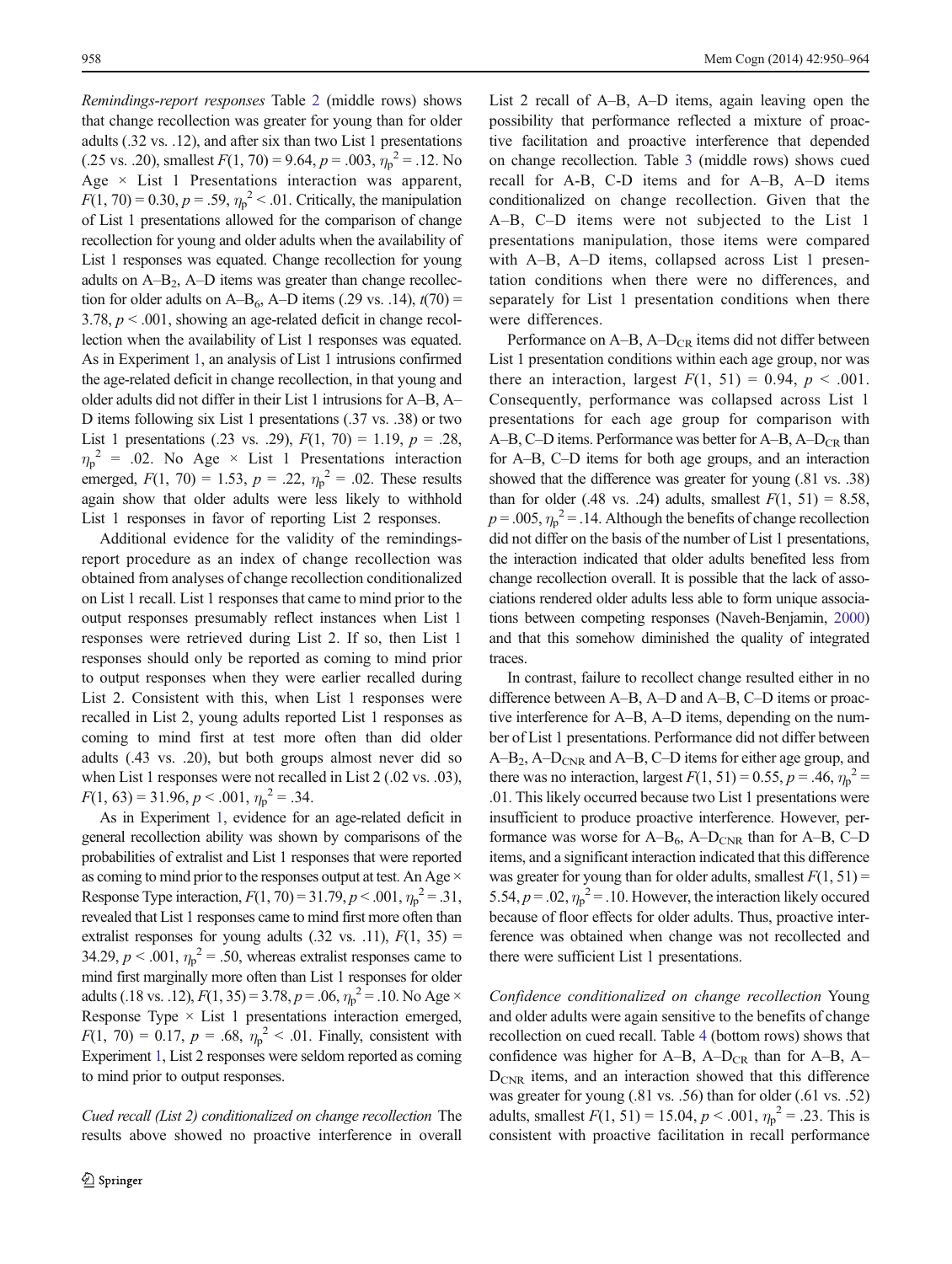Remindings-report responses Table [2](#page-4-0) (middle rows) shows that change recollection was greater for young than for older adults (.32 vs. .12), and after six than two List 1 presentations  $(.25 \text{ vs. } .20)$ , smallest  $F(1, 70) = 9.64$ ,  $p = .003$ ,  $\eta_p^2 = .12$ . No Age  $\times$  List 1 Presentations interaction was apparent,  $F(1, 70) = 0.30, p = .59, \eta_{p}^{2} < .01$ . Critically, the manipulation of List 1 presentations allowed for the comparison of change recollection for young and older adults when the availability of List 1 responses was equated. Change recollection for young adults on  $A-B_2$ ,  $A-D$  items was greater than change recollection for older adults on A–B<sub>6</sub>, A–D items (.29 vs. .14),  $t(70)$  = 3.78,  $p < .001$ , showing an age-related deficit in change recollection when the availability of List 1 responses was equated. As in Experiment [1,](#page-2-0) an analysis of List 1 intrusions confirmed the age-related deficit in change recollection, in that young and older adults did not differ in their List 1 intrusions for A–B, A– D items following six List 1 presentations (.37 vs. .38) or two List 1 presentations (.23 vs. .29),  $F(1, 70) = 1.19$ ,  $p = .28$ ,  $\eta_{\rm p}^2$  = .02. No Age × List 1 Presentations interaction emerged,  $F(1, 70) = 1.53$ ,  $p = .22$ ,  $\eta_p^2 = .02$ . These results again show that older adults were less likely to withhold List 1 responses in favor of reporting List 2 responses.

Additional evidence for the validity of the remindingsreport procedure as an index of change recollection was obtained from analyses of change recollection conditionalized on List 1 recall. List 1 responses that came to mind prior to the output responses presumably reflect instances when List 1 responses were retrieved during List 2. If so, then List 1 responses should only be reported as coming to mind prior to output responses when they were earlier recalled during List 2. Consistent with this, when List 1 responses were recalled in List 2, young adults reported List 1 responses as coming to mind first at test more often than did older adults (.43 vs. .20), but both groups almost never did so when List 1 responses were not recalled in List 2 (.02 vs. .03),  $F(1, 63) = 31.96, p < .001, \eta_p^2 = .34.$ 

As in Experiment [1,](#page-2-0) evidence for an age-related deficit in general recollection ability was shown by comparisons of the probabilities of extralist and List 1 responses that were reported as coming to mind prior to the responses output at test. An Age × Response Type interaction,  $F(1, 70) = 31.79, p < .001, \eta_p^2 = .31,$ revealed that List 1 responses came to mind first more often than extralist responses for young adults (.32 vs. .11),  $F(1, 35) =$ 34.29,  $p < .001$ ,  $\eta_p^2 = .50$ , whereas extralist responses came to mind first marginally more often than List 1 responses for older adults (.18 vs. .12),  $F(1, 35) = 3.78$ ,  $p = .06$ ,  $\eta_p^2 = .10$ . No Age  $\times$ Response Type  $\times$  List 1 presentations interaction emerged,  $F(1, 70) = 0.17$ ,  $p = .68$ ,  $\eta_p^2 < .01$ . Finally, consistent with Experiment [1](#page-2-0), List 2 responses were seldom reported as coming to mind prior to output responses.

Cued recall (List 2) conditionalized on change recollection The results above showed no proactive interference in overall List 2 recall of A–B, A–D items, again leaving open the possibility that performance reflected a mixture of proactive facilitation and proactive interference that depended on change recollection. Table [3](#page-6-0) (middle rows) shows cued recall for A-B, C-D items and for A–B, A–D items conditionalized on change recollection. Given that the A–B, C–D items were not subjected to the List 1 presentations manipulation, those items were compared with A–B, A–D items, collapsed across List 1 presentation conditions when there were no differences, and separately for List 1 presentation conditions when there were differences.

Performance on  $A-B$ ,  $A-D_{CR}$  items did not differ between List 1 presentation conditions within each age group, nor was there an interaction, largest  $F(1, 51) = 0.94$ ,  $p < .001$ . Consequently, performance was collapsed across List 1 presentations for each age group for comparison with A–B, C–D items. Performance was better for A–B, A– $D_{CR}$  than for A–B, C–D items for both age groups, and an interaction showed that the difference was greater for young (.81 vs. .38) than for older (.48 vs. .24) adults, smallest  $F(1, 51) = 8.58$ ,  $p = .005$ ,  $\eta_p^2 = .14$ . Although the benefits of change recollection did not differ on the basis of the number of List 1 presentations, the interaction indicated that older adults benefited less from change recollection overall. It is possible that the lack of associations rendered older adults less able to form unique associations between competing responses (Naveh-Benjamin, [2000](#page-14-0)) and that this somehow diminished the quality of integrated traces.

In contrast, failure to recollect change resulted either in no difference between A–B, A–D and A–B, C–D items or proactive interference for A–B, A–D items, depending on the number of List 1 presentations. Performance did not differ between A–B<sub>2</sub>, A–D<sub>CNR</sub> and A–B, C–D items for either age group, and there was no interaction, largest  $F(1, 51) = 0.55$ ,  $p = .46$ ,  $\eta_p^2 =$ .01. This likely occurred because two List 1 presentations were insufficient to produce proactive interference. However, performance was worse for  $A-B_6$ ,  $A-D_{CNR}$  than for  $A-B$ ,  $C-D$ items, and a significant interaction indicated that this difference was greater for young than for older adults, smallest  $F(1, 51) =$ 5.54,  $p = .02$ ,  $\eta_p^2 = .10$ . However, the interaction likely occured because of floor effects for older adults. Thus, proactive interference was obtained when change was not recollected and there were sufficient List 1 presentations.

Confidence conditionalized on change recollection Young and older adults were again sensitive to the benefits of change recollection on cued recall. Table [4](#page-6-0) (bottom rows) shows that confidence was higher for  $A-B$ ,  $A-D_{CR}$  than for  $A-B$ ,  $A-$ D<sub>CNR</sub> items, and an interaction showed that this difference was greater for young (.81 vs. .56) than for older (.61 vs. .52) adults, smallest  $F(1, 51) = 15.04, p < .001, \eta_p^2 = .23$ . This is consistent with proactive facilitation in recall performance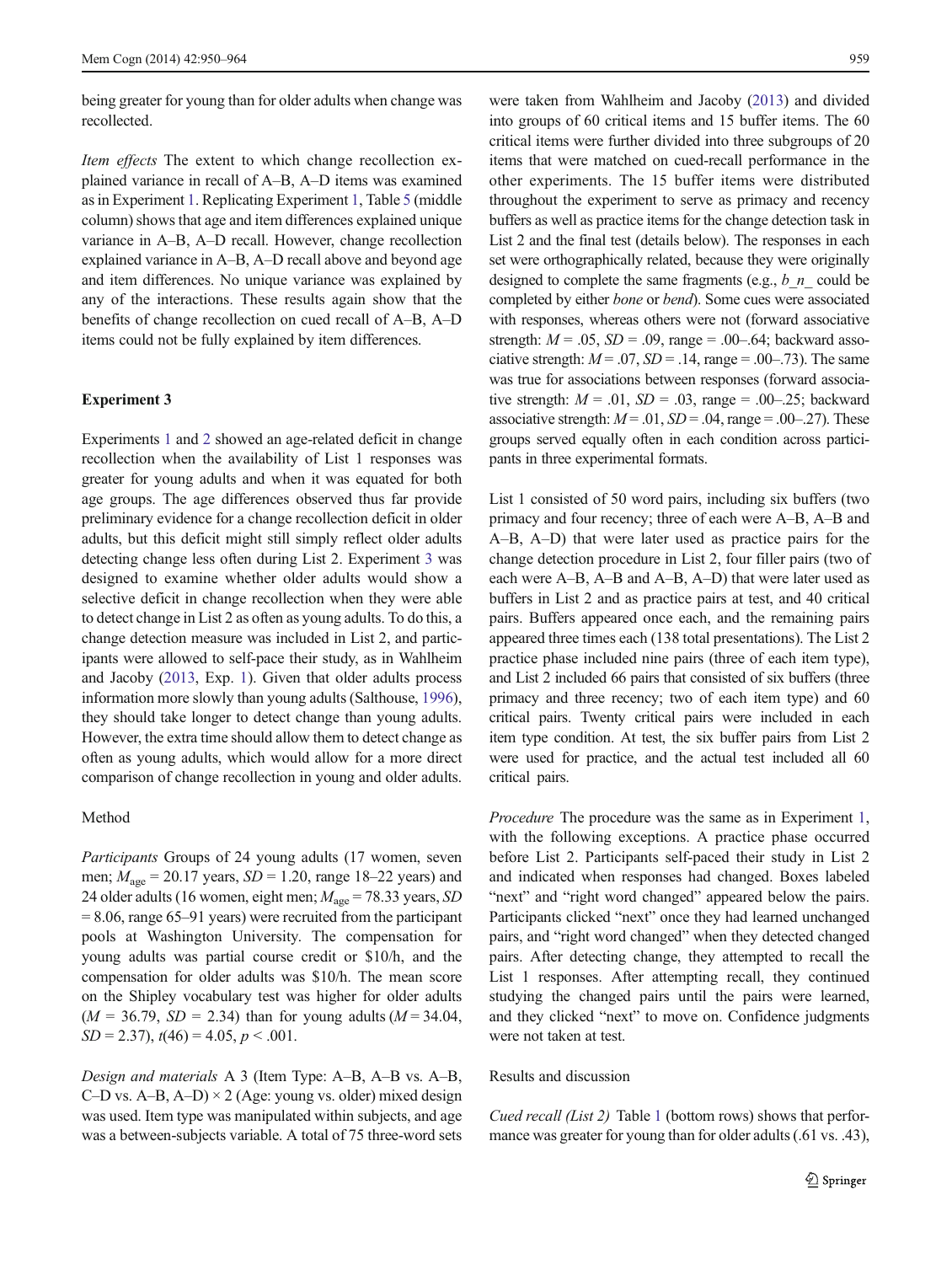<span id="page-9-0"></span>being greater for young than for older adults when change was recollected.

Item effects The extent to which change recollection explained variance in recall of A–B, A–D items was examined as in Experiment [1](#page-2-0). Replicating Experiment [1,](#page-2-0) Table [5](#page-7-0) (middle column) shows that age and item differences explained unique variance in A–B, A–D recall. However, change recollection explained variance in A–B, A–D recall above and beyond age and item differences. No unique variance was explained by any of the interactions. These results again show that the benefits of change recollection on cued recall of A–B, A–D items could not be fully explained by item differences.

## Experiment 3

Experiments [1](#page-2-0) and [2](#page-5-0) showed an age-related deficit in change recollection when the availability of List 1 responses was greater for young adults and when it was equated for both age groups. The age differences observed thus far provide preliminary evidence for a change recollection deficit in older adults, but this deficit might still simply reflect older adults detecting change less often during List 2. Experiment 3 was designed to examine whether older adults would show a selective deficit in change recollection when they were able to detect change in List 2 as often as young adults. To do this, a change detection measure was included in List 2, and participants were allowed to self-pace their study, as in Wahlheim and Jacoby ([2013](#page-14-0), Exp. [1](#page-2-0)). Given that older adults process information more slowly than young adults (Salthouse, [1996\)](#page-14-0), they should take longer to detect change than young adults. However, the extra time should allow them to detect change as often as young adults, which would allow for a more direct comparison of change recollection in young and older adults.

## Method

Participants Groups of 24 young adults (17 women, seven men;  $M_{\text{age}} = 20.17$  years,  $SD = 1.20$ , range 18–22 years) and 24 older adults (16 women, eight men;  $M_{\text{age}} = 78.33$  years, SD  $= 8.06$ , range 65–91 years) were recruited from the participant pools at Washington University. The compensation for young adults was partial course credit or \$10/h, and the compensation for older adults was \$10/h. The mean score on the Shipley vocabulary test was higher for older adults  $(M = 36.79, SD = 2.34)$  than for young adults  $(M = 34.04,$  $SD = 2.37$ ,  $t(46) = 4.05$ ,  $p < .001$ .

Design and materials A 3 (Item Type: A–B, A–B vs. A–B, C–D vs. A–B, A–D)  $\times$  2 (Age: young vs. older) mixed design was used. Item type was manipulated within subjects, and age was a between-subjects variable. A total of 75 three-word sets

were taken from Wahlheim and Jacoby ([2013](#page-14-0)) and divided into groups of 60 critical items and 15 buffer items. The 60 critical items were further divided into three subgroups of 20 items that were matched on cued-recall performance in the other experiments. The 15 buffer items were distributed throughout the experiment to serve as primacy and recency buffers as well as practice items for the change detection task in List 2 and the final test (details below). The responses in each set were orthographically related, because they were originally designed to complete the same fragments (e.g.,  $b_n$  could be completed by either bone or bend). Some cues were associated with responses, whereas others were not (forward associative strength:  $M = .05$ ,  $SD = .09$ , range = .00-.64; backward associative strength:  $M = .07$ ,  $SD = .14$ , range = .00–.73). The same was true for associations between responses (forward associative strength:  $M = .01$ ,  $SD = .03$ , range = .00-.25; backward associative strength:  $M = .01$ ,  $SD = .04$ , range = .00-.27). These groups served equally often in each condition across participants in three experimental formats.

List 1 consisted of 50 word pairs, including six buffers (two primacy and four recency; three of each were A–B, A–B and A–B, A–D) that were later used as practice pairs for the change detection procedure in List 2, four filler pairs (two of each were A–B, A–B and A–B, A–D) that were later used as buffers in List 2 and as practice pairs at test, and 40 critical pairs. Buffers appeared once each, and the remaining pairs appeared three times each (138 total presentations). The List 2 practice phase included nine pairs (three of each item type), and List 2 included 66 pairs that consisted of six buffers (three primacy and three recency; two of each item type) and 60 critical pairs. Twenty critical pairs were included in each item type condition. At test, the six buffer pairs from List 2 were used for practice, and the actual test included all 60 critical pairs.

Procedure The procedure was the same as in Experiment [1,](#page-2-0) with the following exceptions. A practice phase occurred before List 2. Participants self-paced their study in List 2 and indicated when responses had changed. Boxes labeled "next" and "right word changed" appeared below the pairs. Participants clicked "next" once they had learned unchanged pairs, and "right word changed" when they detected changed pairs. After detecting change, they attempted to recall the List 1 responses. After attempting recall, they continued studying the changed pairs until the pairs were learned, and they clicked "next" to move on. Confidence judgments were not taken at test.

## Results and discussion

Cued recall (List 2) Table [1](#page-4-0) (bottom rows) shows that performance was greater for young than for older adults (.61 vs. .43),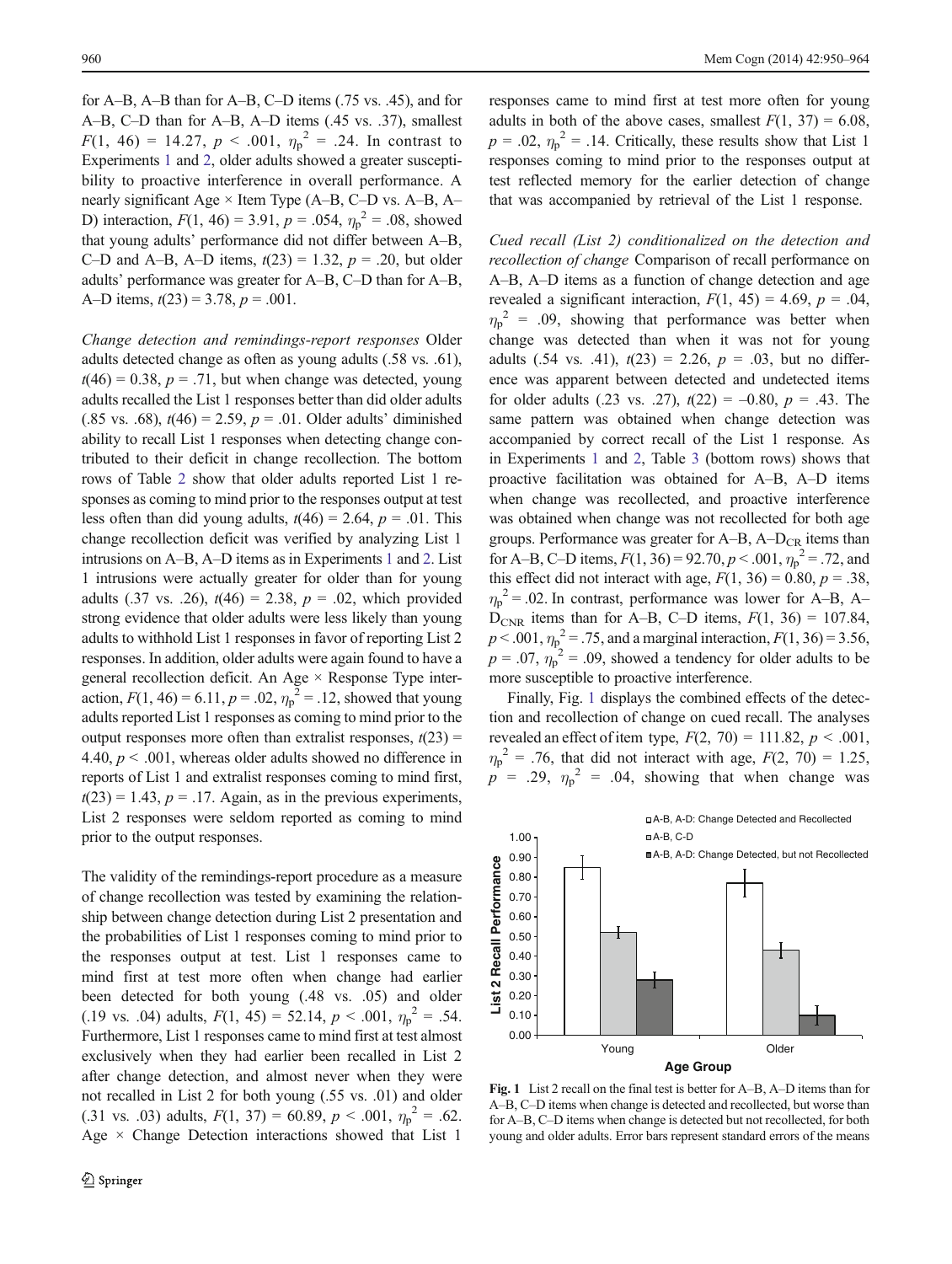for A–B, A–B than for A–B, C–D items (.75 vs. .45), and for A–B, C–D than for A–B, A–D items (.45 vs. .37), smallest  $F(1, 46) = 14.27, p < .001, \eta_p^2 = .24$ . In contrast to Experiments [1](#page-2-0) and [2](#page-5-0), older adults showed a greater susceptibility to proactive interference in overall performance. A nearly significant Age × Item Type (A–B, C–D vs. A–B, A– D) interaction,  $F(1, 46) = 3.91$ ,  $p = .054$ ,  $\eta_p^2 = .08$ , showed that young adults' performance did not differ between A–B, C–D and A–B, A–D items,  $t(23) = 1.32$ ,  $p = .20$ , but older adults' performance was greater for A–B, C–D than for A–B, A–D items,  $t(23) = 3.78$ ,  $p = .001$ .

Change detection and remindings-report responses Older adults detected change as often as young adults (.58 vs. .61),  $t(46) = 0.38$ ,  $p = .71$ , but when change was detected, young adults recalled the List 1 responses better than did older adults (.85 vs. .68),  $t(46) = 2.59$ ,  $p = .01$ . Older adults' diminished ability to recall List 1 responses when detecting change contributed to their deficit in change recollection. The bottom rows of Table [2](#page-4-0) show that older adults reported List 1 responses as coming to mind prior to the responses output at test less often than did young adults,  $t(46) = 2.64$ ,  $p = .01$ . This change recollection deficit was verified by analyzing List 1 intrusions on A–B, A–D items as in Experiments [1](#page-2-0) and [2.](#page-5-0) List 1 intrusions were actually greater for older than for young adults (.37 vs. .26),  $t(46) = 2.38$ ,  $p = .02$ , which provided strong evidence that older adults were less likely than young adults to withhold List 1 responses in favor of reporting List 2 responses. In addition, older adults were again found to have a general recollection deficit. An Age × Response Type interaction,  $F(1, 46) = 6.11$ ,  $p = .02$ ,  $\eta_p^2 = .12$ , showed that young adults reported List 1 responses as coming to mind prior to the output responses more often than extralist responses,  $t(23)$  = 4.40,  $p < .001$ , whereas older adults showed no difference in reports of List 1 and extralist responses coming to mind first,  $t(23) = 1.43$ ,  $p = .17$ . Again, as in the previous experiments, List 2 responses were seldom reported as coming to mind prior to the output responses.

The validity of the remindings-report procedure as a measure of change recollection was tested by examining the relationship between change detection during List 2 presentation and the probabilities of List 1 responses coming to mind prior to the responses output at test. List 1 responses came to mind first at test more often when change had earlier been detected for both young (.48 vs. .05) and older (.19 vs. .04) adults,  $F(1, 45) = 52.14, p < .001, \eta_p^2 = .54$ . Furthermore, List 1 responses came to mind first at test almost exclusively when they had earlier been recalled in List 2 after change detection, and almost never when they were not recalled in List 2 for both young (.55 vs. .01) and older (.31 vs. .03) adults,  $F(1, 37) = 60.89, p < .001, \eta_p^2 = .62$ . Age  $\times$  Change Detection interactions showed that List 1

responses came to mind first at test more often for young adults in both of the above cases, smallest  $F(1, 37) = 6.08$ ,  $p = .02$ ,  $\eta_p^2 = .14$ . Critically, these results show that List 1 responses coming to mind prior to the responses output at test reflected memory for the earlier detection of change that was accompanied by retrieval of the List 1 response.

Cued recall (List 2) conditionalized on the detection and recollection of change Comparison of recall performance on A–B, A–D items as a function of change detection and age revealed a significant interaction,  $F(1, 45) = 4.69$ ,  $p = .04$ ,  $\eta_p^2$  = .09, showing that performance was better when change was detected than when it was not for young adults (.54 vs. .41),  $t(23) = 2.26$ ,  $p = .03$ , but no difference was apparent between detected and undetected items for older adults (.23 vs. .27),  $t(22) = -0.80$ ,  $p = .43$ . The same pattern was obtained when change detection was accompanied by correct recall of the List 1 response. As in Experiments [1](#page-2-0) and [2](#page-5-0), Table [3](#page-6-0) (bottom rows) shows that proactive facilitation was obtained for A–B, A–D items when change was recollected, and proactive interference was obtained when change was not recollected for both age groups. Performance was greater for  $A-B$ ,  $A-D_{CR}$  items than for A–B, C–D items,  $F(1, 36) = 92.70, p < .001, \eta_p^2 = .72$ , and this effect did not interact with age,  $F(1, 36) = 0.80$ ,  $p = .38$ ,  $\eta_p^2$  = .02. In contrast, performance was lower for A–B, A–  $D_{CNR}$  items than for A–B, C–D items,  $F(1, 36) = 107.84$ ,  $p < .001$ ,  $\eta_p^2 = .75$ , and a marginal interaction,  $F(1, 36) = 3.56$ ,  $p = .07$ ,  $\eta_p^2 = .09$ , showed a tendency for older adults to be more susceptible to proactive interference.

Finally, Fig. 1 displays the combined effects of the detection and recollection of change on cued recall. The analyses revealed an effect of item type,  $F(2, 70) = 111.82$ ,  $p < .001$ ,  $\eta_p^2$  = .76, that did not interact with age,  $F(2, 70) = 1.25$ ,  $p = .29$ ,  $\eta_p^2 = .04$ , showing that when change was



Fig. 1 List 2 recall on the final test is better for A–B, A–D items than for A–B, C–D items when change is detected and recollected, but worse than for A–B, C–D items when change is detected but not recollected, for both young and older adults. Error bars represent standard errors of the means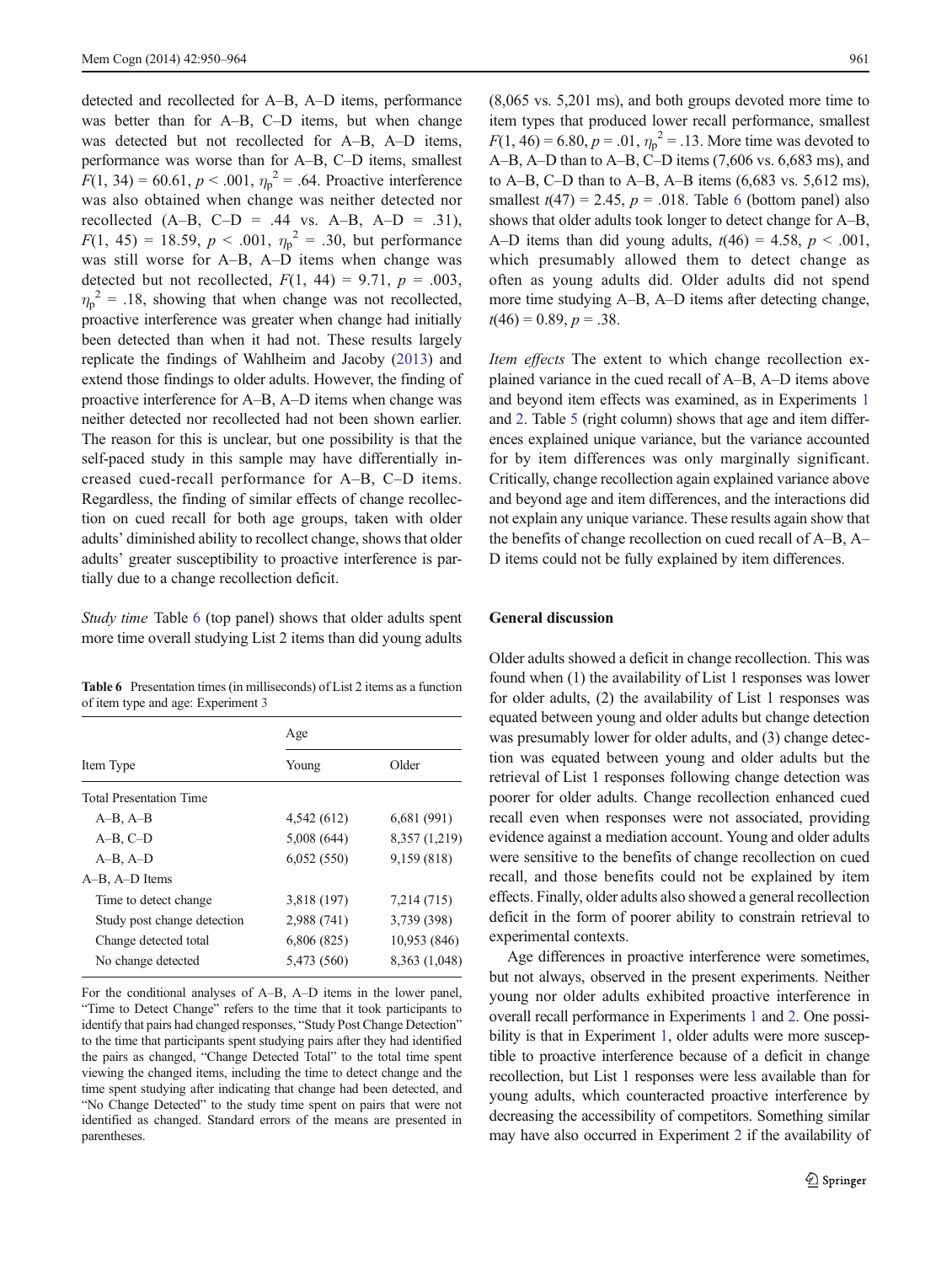detected and recollected for A–B, A–D items, performance was better than for A–B, C–D items, but when change was detected but not recollected for A–B, A–D items, performance was worse than for A–B, C–D items, smallest  $F(1, 34) = 60.61, p < .001, \eta_p^2 = .64$ . Proactive interference was also obtained when change was neither detected nor recollected  $(A-B, C-D = .44$  vs.  $A-B, A-D = .31$ ),  $F(1, 45) = 18.59, p < .001, \eta_p^2 = .30$ , but performance was still worse for A–B, A–D items when change was detected but not recollected,  $F(1, 44) = 9.71$ ,  $p = .003$ ,  $\eta_p^2$  = .18, showing that when change was not recollected, proactive interference was greater when change had initially been detected than when it had not. These results largely replicate the findings of Wahlheim and Jacoby [\(2013\)](#page-14-0) and extend those findings to older adults. However, the finding of proactive interference for A–B, A–D items when change was neither detected nor recollected had not been shown earlier. The reason for this is unclear, but one possibility is that the self-paced study in this sample may have differentially increased cued-recall performance for A–B, C–D items. Regardless, the finding of similar effects of change recollection on cued recall for both age groups, taken with older adults' diminished ability to recollect change, shows that older adults' greater susceptibility to proactive interference is partially due to a change recollection deficit.

Study time Table 6 (top panel) shows that older adults spent more time overall studying List 2 items than did young adults

Table 6 Presentation times (in milliseconds) of List 2 items as a function of item type and age: Experiment [3](#page-9-0)

|                                | Age         |               |  |  |
|--------------------------------|-------------|---------------|--|--|
| Item Type                      | Young       | Older         |  |  |
| <b>Total Presentation Time</b> |             |               |  |  |
| $A-B, A-B$                     | 4,542 (612) | 6,681 (991)   |  |  |
| $A-B, C-D$                     | 5,008 (644) | 8,357 (1,219) |  |  |
| $A-B, A-D$                     | 6,052(550)  | 9,159 (818)   |  |  |
| $A-B$ , $A-D$ Items            |             |               |  |  |
| Time to detect change.         | 3,818 (197) | 7,214 (715)   |  |  |
| Study post change detection    | 2,988 (741) | 3,739 (398)   |  |  |
| Change detected total          | 6,806 (825) | 10,953 (846)  |  |  |
| No change detected             | 5,473 (560) | 8,363 (1,048) |  |  |

For the conditional analyses of A–B, A–D items in the lower panel, "Time to Detect Change" refers to the time that it took participants to identify that pairs had changed responses, "Study Post Change Detection" to the time that participants spent studying pairs after they had identified the pairs as changed, "Change Detected Total" to the total time spent viewing the changed items, including the time to detect change and the time spent studying after indicating that change had been detected, and "No Change Detected" to the study time spent on pairs that were not identified as changed. Standard errors of the means are presented in parentheses.

(8,065 vs. 5,201 ms), and both groups devoted more time to item types that produced lower recall performance, smallest  $F(1, 46) = 6.80, p = .01, \eta_p^2 = .13$ . More time was devoted to A–B, A–D than to A–B, C–D items (7,606 vs. 6,683 ms), and to A–B, C–D than to A–B, A–B items (6,683 vs. 5,612 ms), smallest  $t(47) = 2.45$ ,  $p = .018$ . Table 6 (bottom panel) also shows that older adults took longer to detect change for A–B, A–D items than did young adults,  $t(46) = 4.58$ ,  $p < .001$ , which presumably allowed them to detect change as often as young adults did. Older adults did not spend more time studying A–B, A–D items after detecting change,  $t(46) = 0.89, p = .38.$ 

Item effects The extent to which change recollection explained variance in the cued recall of A–B, A–D items above and beyond item effects was examined, as in Experiments [1](#page-2-0) and [2.](#page-5-0) Table [5](#page-7-0) (right column) shows that age and item differences explained unique variance, but the variance accounted for by item differences was only marginally significant. Critically, change recollection again explained variance above and beyond age and item differences, and the interactions did not explain any unique variance. These results again show that the benefits of change recollection on cued recall of A–B, A– D items could not be fully explained by item differences.

#### General discussion

Older adults showed a deficit in change recollection. This was found when (1) the availability of List 1 responses was lower for older adults, (2) the availability of List 1 responses was equated between young and older adults but change detection was presumably lower for older adults, and (3) change detection was equated between young and older adults but the retrieval of List 1 responses following change detection was poorer for older adults. Change recollection enhanced cued recall even when responses were not associated, providing evidence against a mediation account. Young and older adults were sensitive to the benefits of change recollection on cued recall, and those benefits could not be explained by item effects. Finally, older adults also showed a general recollection deficit in the form of poorer ability to constrain retrieval to experimental contexts.

Age differences in proactive interference were sometimes, but not always, observed in the present experiments. Neither young nor older adults exhibited proactive interference in overall recall performance in Experiments [1](#page-2-0) and [2.](#page-5-0) One possi-bility is that in Experiment [1,](#page-2-0) older adults were more susceptible to proactive interference because of a deficit in change recollection, but List 1 responses were less available than for young adults, which counteracted proactive interference by decreasing the accessibility of competitors. Something similar may have also occurred in Experiment [2](#page-5-0) if the availability of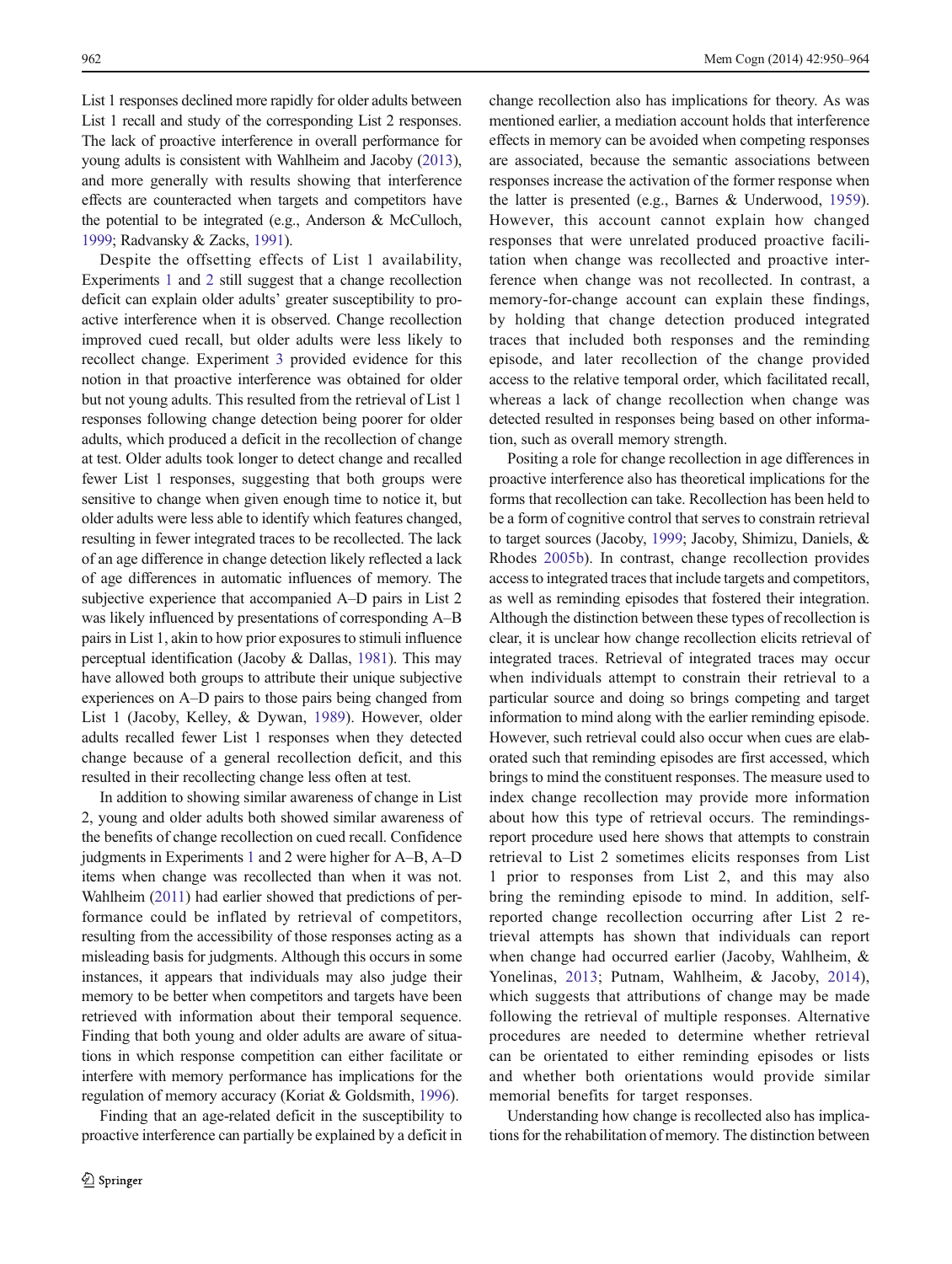List 1 responses declined more rapidly for older adults between List 1 recall and study of the corresponding List 2 responses. The lack of proactive interference in overall performance for young adults is consistent with Wahlheim and Jacoby [\(2013\)](#page-14-0), and more generally with results showing that interference effects are counteracted when targets and competitors have the potential to be integrated (e.g., Anderson & McCulloch, [1999](#page-13-0); Radvansky & Zacks, [1991\)](#page-14-0).

Despite the offsetting effects of List 1 availability, Experiments [1](#page-2-0) and [2](#page-5-0) still suggest that a change recollection deficit can explain older adults' greater susceptibility to proactive interference when it is observed. Change recollection improved cued recall, but older adults were less likely to recollect change. Experiment [3](#page-9-0) provided evidence for this notion in that proactive interference was obtained for older but not young adults. This resulted from the retrieval of List 1 responses following change detection being poorer for older adults, which produced a deficit in the recollection of change at test. Older adults took longer to detect change and recalled fewer List 1 responses, suggesting that both groups were sensitive to change when given enough time to notice it, but older adults were less able to identify which features changed, resulting in fewer integrated traces to be recollected. The lack of an age difference in change detection likely reflected a lack of age differences in automatic influences of memory. The subjective experience that accompanied A–D pairs in List 2 was likely influenced by presentations of corresponding A–B pairs in List 1, akin to how prior exposures to stimuli influence perceptual identification (Jacoby & Dallas, [1981\)](#page-13-0). This may have allowed both groups to attribute their unique subjective experiences on A–D pairs to those pairs being changed from List 1 (Jacoby, Kelley, & Dywan, [1989](#page-14-0)). However, older adults recalled fewer List 1 responses when they detected change because of a general recollection deficit, and this resulted in their recollecting change less often at test.

In addition to showing similar awareness of change in List 2, young and older adults both showed similar awareness of the benefits of change recollection on cued recall. Confidence judgments in Experiments [1](#page-2-0) and 2 were higher for A–B, A–D items when change was recollected than when it was not. Wahlheim ([2011](#page-14-0)) had earlier showed that predictions of performance could be inflated by retrieval of competitors, resulting from the accessibility of those responses acting as a misleading basis for judgments. Although this occurs in some instances, it appears that individuals may also judge their memory to be better when competitors and targets have been retrieved with information about their temporal sequence. Finding that both young and older adults are aware of situations in which response competition can either facilitate or interfere with memory performance has implications for the regulation of memory accuracy (Koriat & Goldsmith, [1996\)](#page-14-0).

Finding that an age-related deficit in the susceptibility to proactive interference can partially be explained by a deficit in change recollection also has implications for theory. As was mentioned earlier, a mediation account holds that interference effects in memory can be avoided when competing responses are associated, because the semantic associations between responses increase the activation of the former response when the latter is presented (e.g., Barnes & Underwood, [1959\)](#page-13-0). However, this account cannot explain how changed responses that were unrelated produced proactive facilitation when change was recollected and proactive interference when change was not recollected. In contrast, a memory-for-change account can explain these findings, by holding that change detection produced integrated traces that included both responses and the reminding episode, and later recollection of the change provided access to the relative temporal order, which facilitated recall, whereas a lack of change recollection when change was detected resulted in responses being based on other information, such as overall memory strength.

Positing a role for change recollection in age differences in proactive interference also has theoretical implications for the forms that recollection can take. Recollection has been held to be a form of cognitive control that serves to constrain retrieval to target sources (Jacoby, [1999](#page-13-0); Jacoby, Shimizu, Daniels, & Rhodes [2005b](#page-14-0)). In contrast, change recollection provides access to integrated traces that include targets and competitors, as well as reminding episodes that fostered their integration. Although the distinction between these types of recollection is clear, it is unclear how change recollection elicits retrieval of integrated traces. Retrieval of integrated traces may occur when individuals attempt to constrain their retrieval to a particular source and doing so brings competing and target information to mind along with the earlier reminding episode. However, such retrieval could also occur when cues are elaborated such that reminding episodes are first accessed, which brings to mind the constituent responses. The measure used to index change recollection may provide more information about how this type of retrieval occurs. The remindingsreport procedure used here shows that attempts to constrain retrieval to List 2 sometimes elicits responses from List 1 prior to responses from List 2, and this may also bring the reminding episode to mind. In addition, selfreported change recollection occurring after List 2 retrieval attempts has shown that individuals can report when change had occurred earlier (Jacoby, Wahlheim, & Yonelinas, [2013](#page-14-0); Putnam, Wahlheim, & Jacoby, [2014](#page-14-0)), which suggests that attributions of change may be made following the retrieval of multiple responses. Alternative procedures are needed to determine whether retrieval can be orientated to either reminding episodes or lists and whether both orientations would provide similar memorial benefits for target responses.

Understanding how change is recollected also has implications for the rehabilitation of memory. The distinction between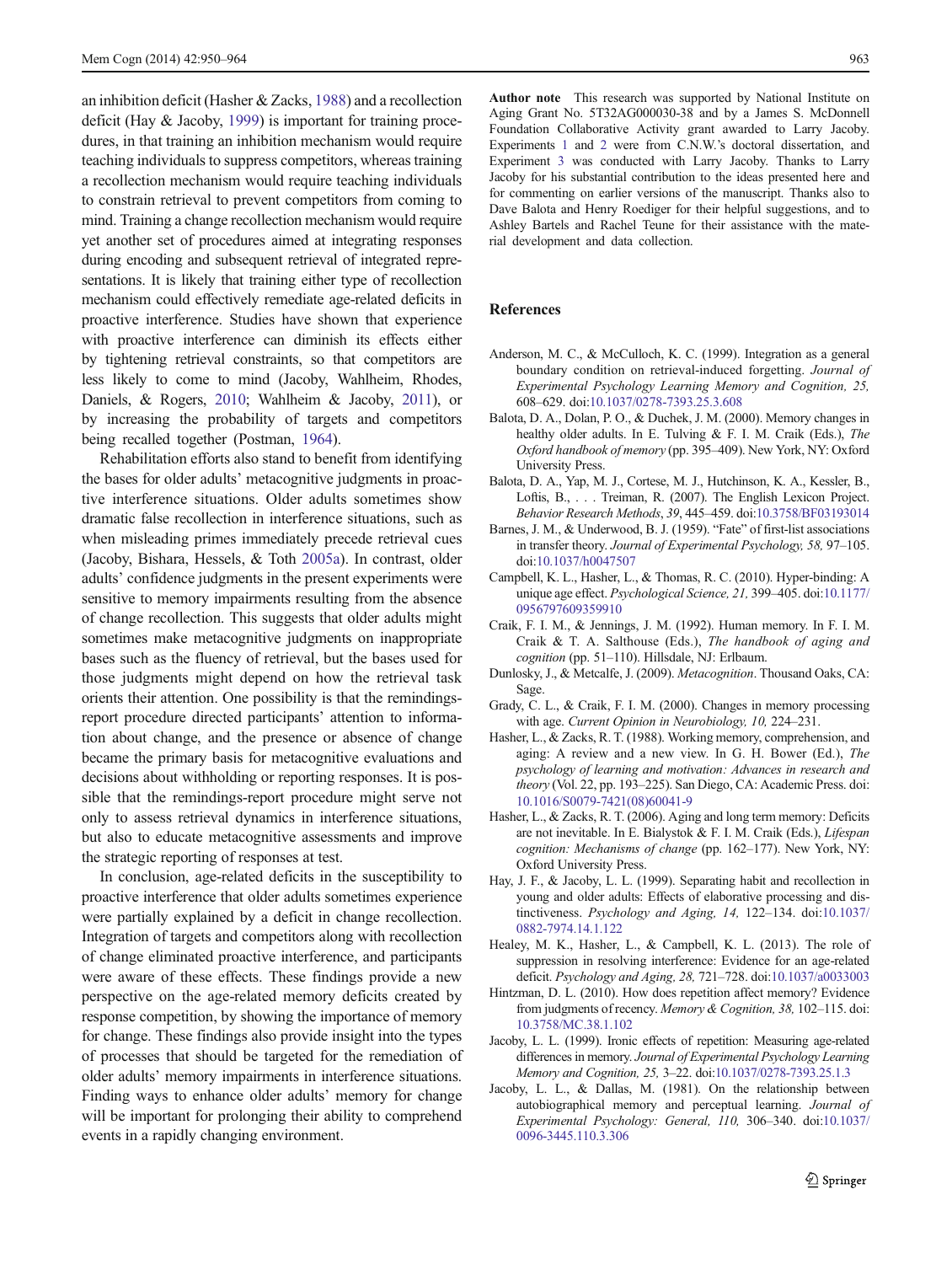<span id="page-13-0"></span>an inhibition deficit (Hasher & Zacks, 1988) and a recollection deficit (Hay & Jacoby, 1999) is important for training procedures, in that training an inhibition mechanism would require teaching individuals to suppress competitors, whereas training a recollection mechanism would require teaching individuals to constrain retrieval to prevent competitors from coming to mind. Training a change recollection mechanism would require yet another set of procedures aimed at integrating responses during encoding and subsequent retrieval of integrated representations. It is likely that training either type of recollection mechanism could effectively remediate age-related deficits in proactive interference. Studies have shown that experience with proactive interference can diminish its effects either by tightening retrieval constraints, so that competitors are less likely to come to mind (Jacoby, Wahlheim, Rhodes, Daniels, & Rogers, [2010;](#page-14-0) Wahlheim & Jacoby, [2011\)](#page-14-0), or by increasing the probability of targets and competitors being recalled together (Postman, [1964](#page-14-0)).

Rehabilitation efforts also stand to benefit from identifying the bases for older adults' metacognitive judgments in proactive interference situations. Older adults sometimes show dramatic false recollection in interference situations, such as when misleading primes immediately precede retrieval cues (Jacoby, Bishara, Hessels, & Toth [2005a\)](#page-14-0). In contrast, older adults' confidence judgments in the present experiments were sensitive to memory impairments resulting from the absence of change recollection. This suggests that older adults might sometimes make metacognitive judgments on inappropriate bases such as the fluency of retrieval, but the bases used for those judgments might depend on how the retrieval task orients their attention. One possibility is that the remindingsreport procedure directed participants' attention to information about change, and the presence or absence of change became the primary basis for metacognitive evaluations and decisions about withholding or reporting responses. It is possible that the remindings-report procedure might serve not only to assess retrieval dynamics in interference situations, but also to educate metacognitive assessments and improve the strategic reporting of responses at test.

In conclusion, age-related deficits in the susceptibility to proactive interference that older adults sometimes experience were partially explained by a deficit in change recollection. Integration of targets and competitors along with recollection of change eliminated proactive interference, and participants were aware of these effects. These findings provide a new perspective on the age-related memory deficits created by response competition, by showing the importance of memory for change. These findings also provide insight into the types of processes that should be targeted for the remediation of older adults' memory impairments in interference situations. Finding ways to enhance older adults' memory for change will be important for prolonging their ability to comprehend events in a rapidly changing environment.

Author note This research was supported by National Institute on Aging Grant No. 5T32AG000030-38 and by a James S. McDonnell Foundation Collaborative Activity grant awarded to Larry Jacoby. Experiments [1](#page-2-0) and [2](#page-5-0) were from C.N.W.'s doctoral dissertation, and Experiment [3](#page-9-0) was conducted with Larry Jacoby. Thanks to Larry Jacoby for his substantial contribution to the ideas presented here and for commenting on earlier versions of the manuscript. Thanks also to Dave Balota and Henry Roediger for their helpful suggestions, and to Ashley Bartels and Rachel Teune for their assistance with the material development and data collection.

#### References

- Anderson, M. C., & McCulloch, K. C. (1999). Integration as a general boundary condition on retrieval-induced forgetting. Journal of Experimental Psychology Learning Memory and Cognition, 25, 608–629. doi[:10.1037/0278-7393.25.3.608](http://dx.doi.org/10.1037/0278-7393.25.3.608)
- Balota, D. A., Dolan, P. O., & Duchek, J. M. (2000). Memory changes in healthy older adults. In E. Tulving & F. I. M. Craik (Eds.), The Oxford handbook of memory (pp. 395–409). New York, NY: Oxford University Press.
- Balota, D. A., Yap, M. J., Cortese, M. J., Hutchinson, K. A., Kessler, B., Loftis, B., . . . Treiman, R. (2007). The English Lexicon Project. Behavior Research Methods, 39, 445–459. doi[:10.3758/BF03193014](http://dx.doi.org/10.3758/BF03193014)
- Barnes, J. M., & Underwood, B. J. (1959). "Fate" of first-list associations in transfer theory. Journal of Experimental Psychology, 58, 97–105. doi:[10.1037/h0047507](http://dx.doi.org/10.1037/h0047507)
- Campbell, K. L., Hasher, L., & Thomas, R. C. (2010). Hyper-binding: A unique age effect. Psychological Science, 21, 399–405. doi[:10.1177/](http://dx.doi.org/10.1177/0956797609359910) [0956797609359910](http://dx.doi.org/10.1177/0956797609359910)
- Craik, F. I. M., & Jennings, J. M. (1992). Human memory. In F. I. M. Craik & T. A. Salthouse (Eds.), The handbook of aging and cognition (pp. 51–110). Hillsdale, NJ: Erlbaum.
- Dunlosky, J., & Metcalfe, J. (2009). Metacognition. Thousand Oaks, CA: Sage.
- Grady, C. L., & Craik, F. I. M. (2000). Changes in memory processing with age. Current Opinion in Neurobiology, 10, 224–231.
- Hasher, L., & Zacks, R. T. (1988). Working memory, comprehension, and aging: A review and a new view. In G. H. Bower (Ed.), The psychology of learning and motivation: Advances in research and theory (Vol. 22, pp. 193–225). San Diego, CA: Academic Press. doi: [10.1016/S0079-7421\(08\)60041-9](http://dx.doi.org/10.1016/S0079-7421(08)60041-9)
- Hasher, L., & Zacks, R. T. (2006). Aging and long term memory: Deficits are not inevitable. In E. Bialystok & F. I. M. Craik (Eds.), Lifespan cognition: Mechanisms of change (pp. 162–177). New York, NY: Oxford University Press.
- Hay, J. F., & Jacoby, L. L. (1999). Separating habit and recollection in young and older adults: Effects of elaborative processing and distinctiveness. Psychology and Aging, 14, 122–134. doi:[10.1037/](http://dx.doi.org/10.1037/0882-7974.14.1.122) [0882-7974.14.1.122](http://dx.doi.org/10.1037/0882-7974.14.1.122)
- Healey, M. K., Hasher, L., & Campbell, K. L. (2013). The role of suppression in resolving interference: Evidence for an age-related deficit. Psychology and Aging, 28, 721–728. doi:[10.1037/a0033003](http://dx.doi.org/10.1037/a0033003)
- Hintzman, D. L. (2010). How does repetition affect memory? Evidence from judgments of recency. Memory & Cognition, 38, 102–115. doi: [10.3758/MC.38.1.102](http://dx.doi.org/10.3758/MC.38.1.102)
- Jacoby, L. L. (1999). Ironic effects of repetition: Measuring age-related differences in memory. Journal of Experimental Psychology Learning Memory and Cognition, 25, 3–22. doi:[10.1037/0278-7393.25.1.3](http://dx.doi.org/10.1037/0278-7393.25.1.3)
- Jacoby, L. L., & Dallas, M. (1981). On the relationship between autobiographical memory and perceptual learning. Journal of Experimental Psychology: General, 110, 306–340. doi[:10.1037/](http://dx.doi.org/10.1037/0096-3445.110.3.306) [0096-3445.110.3.306](http://dx.doi.org/10.1037/0096-3445.110.3.306)